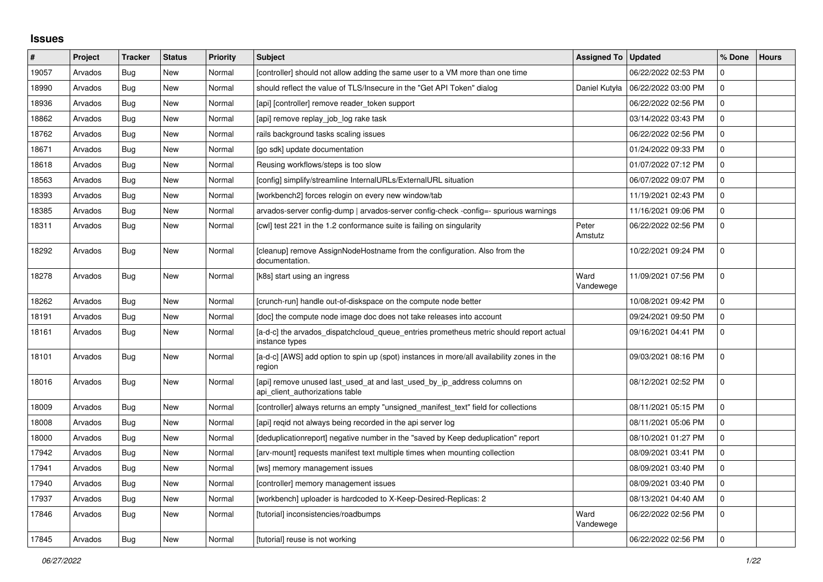## **Issues**

| $\vert$ # | Project | <b>Tracker</b> | <b>Status</b> | Priority | <b>Subject</b>                                                                                             | <b>Assigned To</b> | <b>Updated</b>      | % Done      | <b>Hours</b> |
|-----------|---------|----------------|---------------|----------|------------------------------------------------------------------------------------------------------------|--------------------|---------------------|-------------|--------------|
| 19057     | Arvados | Bug            | <b>New</b>    | Normal   | [controller] should not allow adding the same user to a VM more than one time                              |                    | 06/22/2022 02:53 PM | $\Omega$    |              |
| 18990     | Arvados | Bug            | New           | Normal   | should reflect the value of TLS/Insecure in the "Get API Token" dialog                                     | Daniel Kutyła      | 06/22/2022 03:00 PM | $\mathbf 0$ |              |
| 18936     | Arvados | Bug            | New           | Normal   | [api] [controller] remove reader token support                                                             |                    | 06/22/2022 02:56 PM | $\Omega$    |              |
| 18862     | Arvados | Bug            | <b>New</b>    | Normal   | [api] remove replay_job_log rake task                                                                      |                    | 03/14/2022 03:43 PM | $\Omega$    |              |
| 18762     | Arvados | Bug            | <b>New</b>    | Normal   | rails background tasks scaling issues                                                                      |                    | 06/22/2022 02:56 PM | $\mathbf 0$ |              |
| 18671     | Arvados | Bug            | New           | Normal   | [go sdk] update documentation                                                                              |                    | 01/24/2022 09:33 PM | $\Omega$    |              |
| 18618     | Arvados | Bug            | New           | Normal   | Reusing workflows/steps is too slow                                                                        |                    | 01/07/2022 07:12 PM | $\mathbf 0$ |              |
| 18563     | Arvados | <b>Bug</b>     | <b>New</b>    | Normal   | [config] simplify/streamline InternalURLs/ExternalURL situation                                            |                    | 06/07/2022 09:07 PM | $\Omega$    |              |
| 18393     | Arvados | Bug            | New           | Normal   | [workbench2] forces relogin on every new window/tab                                                        |                    | 11/19/2021 02:43 PM | $\Omega$    |              |
| 18385     | Arvados | Bug            | New           | Normal   | arvados-server config-dump   arvados-server config-check -config=- spurious warnings                       |                    | 11/16/2021 09:06 PM | $\mathbf 0$ |              |
| 18311     | Arvados | Bug            | New           | Normal   | [cwl] test 221 in the 1.2 conformance suite is failing on singularity                                      | Peter<br>Amstutz   | 06/22/2022 02:56 PM | $\Omega$    |              |
| 18292     | Arvados | Bug            | New           | Normal   | [cleanup] remove AssignNodeHostname from the configuration. Also from the<br>documentation.                |                    | 10/22/2021 09:24 PM | $\Omega$    |              |
| 18278     | Arvados | Bug            | <b>New</b>    | Normal   | [k8s] start using an ingress                                                                               | Ward<br>Vandewege  | 11/09/2021 07:56 PM | $\Omega$    |              |
| 18262     | Arvados | Bug            | New           | Normal   | [crunch-run] handle out-of-diskspace on the compute node better                                            |                    | 10/08/2021 09:42 PM | $\Omega$    |              |
| 18191     | Arvados | Bug            | New           | Normal   | [doc] the compute node image doc does not take releases into account                                       |                    | 09/24/2021 09:50 PM | $\mathbf 0$ |              |
| 18161     | Arvados | Bug            | New           | Normal   | [a-d-c] the arvados_dispatchcloud_queue_entries prometheus metric should report actual<br>instance types   |                    | 09/16/2021 04:41 PM | $\Omega$    |              |
| 18101     | Arvados | <b>Bug</b>     | <b>New</b>    | Normal   | [a-d-c] [AWS] add option to spin up (spot) instances in more/all availability zones in the<br>region       |                    | 09/03/2021 08:16 PM | $\Omega$    |              |
| 18016     | Arvados | Bug            | New           | Normal   | [api] remove unused last used at and last used by ip address columns on<br>api_client_authorizations table |                    | 08/12/2021 02:52 PM | $\mathbf 0$ |              |
| 18009     | Arvados | Bug            | New           | Normal   | [controller] always returns an empty "unsigned manifest text" field for collections                        |                    | 08/11/2021 05:15 PM | $\Omega$    |              |
| 18008     | Arvados | Bug            | New           | Normal   | [api] regid not always being recorded in the api server log                                                |                    | 08/11/2021 05:06 PM | 0           |              |
| 18000     | Arvados | <b>Bug</b>     | <b>New</b>    | Normal   | [deduplicationreport] negative number in the "saved by Keep deduplication" report                          |                    | 08/10/2021 01:27 PM | $\mathbf 0$ |              |
| 17942     | Arvados | Bug            | <b>New</b>    | Normal   | [arv-mount] requests manifest text multiple times when mounting collection                                 |                    | 08/09/2021 03:41 PM | $\Omega$    |              |
| 17941     | Arvados | Bug            | New           | Normal   | [ws] memory management issues                                                                              |                    | 08/09/2021 03:40 PM | 0           |              |
| 17940     | Arvados | Bug            | New           | Normal   | [controller] memory management issues                                                                      |                    | 08/09/2021 03:40 PM | $\mathbf 0$ |              |
| 17937     | Arvados | Bug            | New           | Normal   | [workbench] uploader is hardcoded to X-Keep-Desired-Replicas: 2                                            |                    | 08/13/2021 04:40 AM | $\Omega$    |              |
| 17846     | Arvados | Bug            | <b>New</b>    | Normal   | [tutorial] inconsistencies/roadbumps                                                                       | Ward<br>Vandewege  | 06/22/2022 02:56 PM | $\Omega$    |              |
| 17845     | Arvados | Bug            | <b>New</b>    | Normal   | [tutorial] reuse is not working                                                                            |                    | 06/22/2022 02:56 PM | $\Omega$    |              |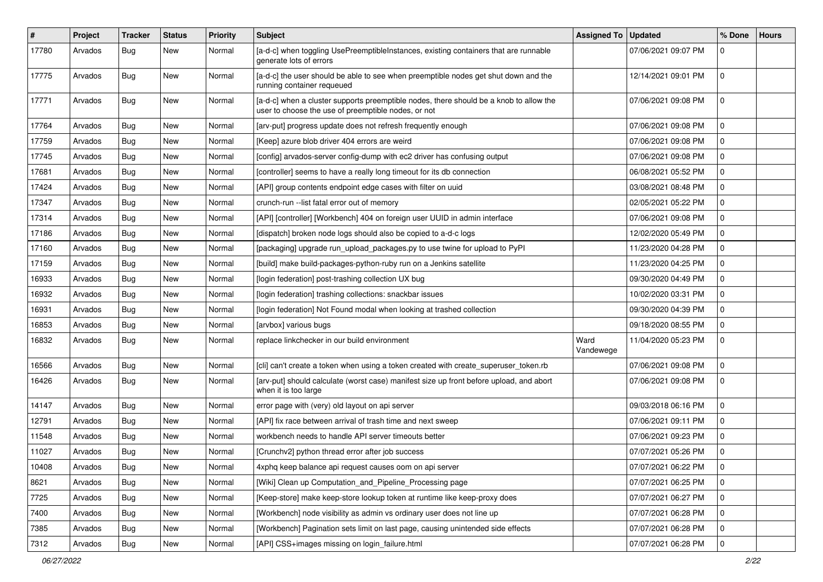| #     | Project | <b>Tracker</b> | <b>Status</b> | <b>Priority</b> | <b>Subject</b>                                                                                                                                | <b>Assigned To</b> | <b>Updated</b>      | % Done              | <b>Hours</b> |
|-------|---------|----------------|---------------|-----------------|-----------------------------------------------------------------------------------------------------------------------------------------------|--------------------|---------------------|---------------------|--------------|
| 17780 | Arvados | <b>Bug</b>     | New           | Normal          | [a-d-c] when toggling UsePreemptibleInstances, existing containers that are runnable<br>generate lots of errors                               |                    | 07/06/2021 09:07 PM | $\mathbf 0$         |              |
| 17775 | Arvados | Bug            | New           | Normal          | [a-d-c] the user should be able to see when preemptible nodes get shut down and the<br>running container requeued                             |                    | 12/14/2021 09:01 PM | $\mathbf 0$         |              |
| 17771 | Arvados | Bug            | New           | Normal          | [a-d-c] when a cluster supports preemptible nodes, there should be a knob to allow the<br>user to choose the use of preemptible nodes, or not |                    | 07/06/2021 09:08 PM | $\mathbf 0$         |              |
| 17764 | Arvados | <b>Bug</b>     | New           | Normal          | [arv-put] progress update does not refresh frequently enough                                                                                  |                    | 07/06/2021 09:08 PM | $\mathbf 0$         |              |
| 17759 | Arvados | <b>Bug</b>     | <b>New</b>    | Normal          | [Keep] azure blob driver 404 errors are weird                                                                                                 |                    | 07/06/2021 09:08 PM | $\mathbf 0$         |              |
| 17745 | Arvados | <b>Bug</b>     | New           | Normal          | [config] arvados-server config-dump with ec2 driver has confusing output                                                                      |                    | 07/06/2021 09:08 PM | $\mathbf 0$         |              |
| 17681 | Arvados | <b>Bug</b>     | New           | Normal          | [controller] seems to have a really long timeout for its db connection                                                                        |                    | 06/08/2021 05:52 PM | $\mathbf 0$         |              |
| 17424 | Arvados | <b>Bug</b>     | New           | Normal          | [API] group contents endpoint edge cases with filter on uuid                                                                                  |                    | 03/08/2021 08:48 PM | $\pmb{0}$           |              |
| 17347 | Arvados | Bug            | New           | Normal          | crunch-run -- list fatal error out of memory                                                                                                  |                    | 02/05/2021 05:22 PM | $\mathbf 0$         |              |
| 17314 | Arvados | <b>Bug</b>     | <b>New</b>    | Normal          | [API] [controller] [Workbench] 404 on foreign user UUID in admin interface                                                                    |                    | 07/06/2021 09:08 PM | $\mathbf 0$         |              |
| 17186 | Arvados | <b>Bug</b>     | New           | Normal          | [dispatch] broken node logs should also be copied to a-d-c logs                                                                               |                    | 12/02/2020 05:49 PM | $\mathbf 0$         |              |
| 17160 | Arvados | <b>Bug</b>     | New           | Normal          | [packaging] upgrade run_upload_packages.py to use twine for upload to PyPI                                                                    |                    | 11/23/2020 04:28 PM | $\pmb{0}$           |              |
| 17159 | Arvados | <b>Bug</b>     | New           | Normal          | [build] make build-packages-python-ruby run on a Jenkins satellite                                                                            |                    | 11/23/2020 04:25 PM | 0                   |              |
| 16933 | Arvados | <b>Bug</b>     | New           | Normal          | [login federation] post-trashing collection UX bug                                                                                            |                    | 09/30/2020 04:49 PM | $\mathbf 0$         |              |
| 16932 | Arvados | Bug            | <b>New</b>    | Normal          | [login federation] trashing collections: snackbar issues                                                                                      |                    | 10/02/2020 03:31 PM | $\mathbf 0$         |              |
| 16931 | Arvados | <b>Bug</b>     | New           | Normal          | [login federation] Not Found modal when looking at trashed collection                                                                         |                    | 09/30/2020 04:39 PM | $\mathbf 0$         |              |
| 16853 | Arvados | Bug            | New           | Normal          | [arvbox] various bugs                                                                                                                         |                    | 09/18/2020 08:55 PM | $\mathbf 0$         |              |
| 16832 | Arvados | Bug            | <b>New</b>    | Normal          | replace linkchecker in our build environment                                                                                                  | Ward<br>Vandewege  | 11/04/2020 05:23 PM | $\mathbf 0$         |              |
| 16566 | Arvados | <b>Bug</b>     | <b>New</b>    | Normal          | [cli] can't create a token when using a token created with create_superuser_token.rb                                                          |                    | 07/06/2021 09:08 PM | $\pmb{0}$           |              |
| 16426 | Arvados | <b>Bug</b>     | New           | Normal          | [arv-put] should calculate (worst case) manifest size up front before upload, and abort<br>when it is too large                               |                    | 07/06/2021 09:08 PM | $\mathbf 0$         |              |
| 14147 | Arvados | Bug            | <b>New</b>    | Normal          | error page with (very) old layout on api server                                                                                               |                    | 09/03/2018 06:16 PM | $\mathsf{O}\xspace$ |              |
| 12791 | Arvados | <b>Bug</b>     | New           | Normal          | [API] fix race between arrival of trash time and next sweep                                                                                   |                    | 07/06/2021 09:11 PM | $\mathbf 0$         |              |
| 11548 | Arvados | Bug            | New           | Normal          | workbench needs to handle API server timeouts better                                                                                          |                    | 07/06/2021 09:23 PM | $\mathbf 0$         |              |
| 11027 | Arvados | <b>Bug</b>     | New           | Normal          | [Crunchv2] python thread error after job success                                                                                              |                    | 07/07/2021 05:26 PM | 0                   |              |
| 10408 | Arvados | <b>Bug</b>     | New           | Normal          | 4xphq keep balance api request causes oom on api server                                                                                       |                    | 07/07/2021 06:22 PM | $\pmb{0}$           |              |
| 8621  | Arvados | Bug            | <b>New</b>    | Normal          | [Wiki] Clean up Computation and Pipeline Processing page                                                                                      |                    | 07/07/2021 06:25 PM | $\mathbf 0$         |              |
| 7725  | Arvados | <b>Bug</b>     | New           | Normal          | [Keep-store] make keep-store lookup token at runtime like keep-proxy does                                                                     |                    | 07/07/2021 06:27 PM | $\mathbf 0$         |              |
| 7400  | Arvados | <b>Bug</b>     | New           | Normal          | [Workbench] node visibility as admin vs ordinary user does not line up                                                                        |                    | 07/07/2021 06:28 PM | $\pmb{0}$           |              |
| 7385  | Arvados | Bug            | New           | Normal          | [Workbench] Pagination sets limit on last page, causing unintended side effects                                                               |                    | 07/07/2021 06:28 PM | $\pmb{0}$           |              |
| 7312  | Arvados | Bug            | New           | Normal          | [API] CSS+images missing on login_failure.html                                                                                                |                    | 07/07/2021 06:28 PM | $\pmb{0}$           |              |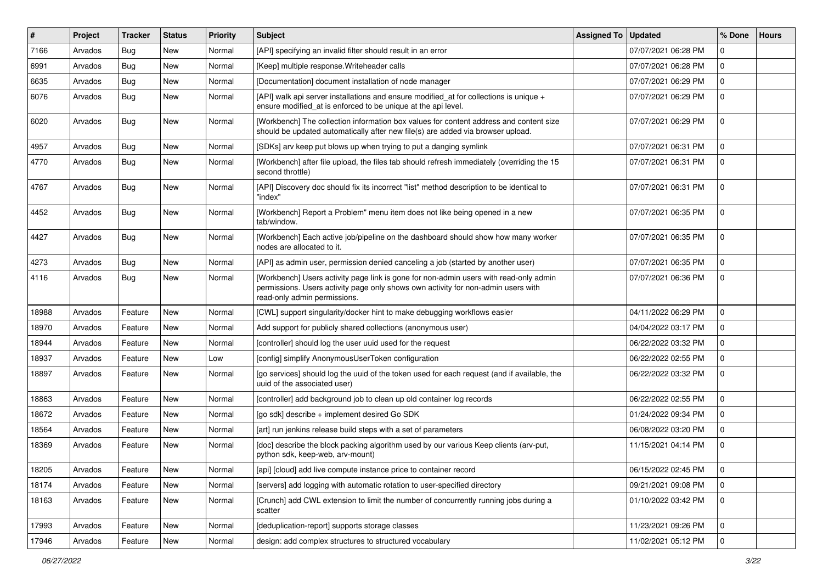| #     | Project | <b>Tracker</b> | <b>Status</b> | <b>Priority</b> | <b>Subject</b>                                                                                                                                                                                             | <b>Assigned To</b> | <b>Updated</b>      | % Done      | <b>Hours</b> |
|-------|---------|----------------|---------------|-----------------|------------------------------------------------------------------------------------------------------------------------------------------------------------------------------------------------------------|--------------------|---------------------|-------------|--------------|
| 7166  | Arvados | <b>Bug</b>     | New           | Normal          | [API] specifying an invalid filter should result in an error                                                                                                                                               |                    | 07/07/2021 06:28 PM | $\Omega$    |              |
| 6991  | Arvados | <b>Bug</b>     | <b>New</b>    | Normal          | [Keep] multiple response. Writeheader calls                                                                                                                                                                |                    | 07/07/2021 06:28 PM | $\mathbf 0$ |              |
| 6635  | Arvados | <b>Bug</b>     | New           | Normal          | [Documentation] document installation of node manager                                                                                                                                                      |                    | 07/07/2021 06:29 PM | $\mathbf 0$ |              |
| 6076  | Arvados | Bug            | New           | Normal          | [API] walk api server installations and ensure modified_at for collections is unique +<br>ensure modified_at is enforced to be unique at the api level.                                                    |                    | 07/07/2021 06:29 PM | $\mathbf 0$ |              |
| 6020  | Arvados | Bug            | <b>New</b>    | Normal          | [Workbench] The collection information box values for content address and content size<br>should be updated automatically after new file(s) are added via browser upload.                                  |                    | 07/07/2021 06:29 PM | $\Omega$    |              |
| 4957  | Arvados | Bug            | <b>New</b>    | Normal          | [SDKs] arv keep put blows up when trying to put a danging symlink                                                                                                                                          |                    | 07/07/2021 06:31 PM | 0           |              |
| 4770  | Arvados | <b>Bug</b>     | New           | Normal          | [Workbench] after file upload, the files tab should refresh immediately (overriding the 15<br>second throttle)                                                                                             |                    | 07/07/2021 06:31 PM | $\Omega$    |              |
| 4767  | Arvados | <b>Bug</b>     | <b>New</b>    | Normal          | [API] Discovery doc should fix its incorrect "list" method description to be identical to<br>"index"                                                                                                       |                    | 07/07/2021 06:31 PM | $\Omega$    |              |
| 4452  | Arvados | <b>Bug</b>     | <b>New</b>    | Normal          | [Workbench] Report a Problem" menu item does not like being opened in a new<br>tab/window.                                                                                                                 |                    | 07/07/2021 06:35 PM | $\mathbf 0$ |              |
| 4427  | Arvados | Bug            | New           | Normal          | [Workbench] Each active job/pipeline on the dashboard should show how many worker<br>nodes are allocated to it.                                                                                            |                    | 07/07/2021 06:35 PM | $\mathbf 0$ |              |
| 4273  | Arvados | Bug            | New           | Normal          | [API] as admin user, permission denied canceling a job (started by another user)                                                                                                                           |                    | 07/07/2021 06:35 PM | $\mathbf 0$ |              |
| 4116  | Arvados | <b>Bug</b>     | New           | Normal          | [Workbench] Users activity page link is gone for non-admin users with read-only admin<br>permissions. Users activity page only shows own activity for non-admin users with<br>read-only admin permissions. |                    | 07/07/2021 06:36 PM | $\mathbf 0$ |              |
| 18988 | Arvados | Feature        | <b>New</b>    | Normal          | [CWL] support singularity/docker hint to make debugging workflows easier                                                                                                                                   |                    | 04/11/2022 06:29 PM | $\mathbf 0$ |              |
| 18970 | Arvados | Feature        | New           | Normal          | Add support for publicly shared collections (anonymous user)                                                                                                                                               |                    | 04/04/2022 03:17 PM | $\mathbf 0$ |              |
| 18944 | Arvados | Feature        | New           | Normal          | [controller] should log the user uuid used for the request                                                                                                                                                 |                    | 06/22/2022 03:32 PM | $\mathbf 0$ |              |
| 18937 | Arvados | Feature        | <b>New</b>    | Low             | [config] simplify AnonymousUserToken configuration                                                                                                                                                         |                    | 06/22/2022 02:55 PM | $\mathbf 0$ |              |
| 18897 | Arvados | Feature        | New           | Normal          | [go services] should log the uuid of the token used for each request (and if available, the<br>uuid of the associated user)                                                                                |                    | 06/22/2022 03:32 PM | $\mathbf 0$ |              |
| 18863 | Arvados | Feature        | <b>New</b>    | Normal          | [controller] add background job to clean up old container log records                                                                                                                                      |                    | 06/22/2022 02:55 PM | $\mathbf 0$ |              |
| 18672 | Arvados | Feature        | New           | Normal          | [go sdk] describe + implement desired Go SDK                                                                                                                                                               |                    | 01/24/2022 09:34 PM | $\mathbf 0$ |              |
| 18564 | Arvados | Feature        | <b>New</b>    | Normal          | [art] run jenkins release build steps with a set of parameters                                                                                                                                             |                    | 06/08/2022 03:20 PM | $\mathbf 0$ |              |
| 18369 | Arvados | Feature        | New           | Normal          | [doc] describe the block packing algorithm used by our various Keep clients (arv-put,<br>python sdk, keep-web, arv-mount)                                                                                  |                    | 11/15/2021 04:14 PM | $\mathbf 0$ |              |
| 18205 | Arvados | Feature        | New           | Normal          | [api] [cloud] add live compute instance price to container record                                                                                                                                          |                    | 06/15/2022 02:45 PM | 10          |              |
| 18174 | Arvados | Feature        | New           | Normal          | [servers] add logging with automatic rotation to user-specified directory                                                                                                                                  |                    | 09/21/2021 09:08 PM | $\mathbf 0$ |              |
| 18163 | Arvados | Feature        | New           | Normal          | [Crunch] add CWL extension to limit the number of concurrently running jobs during a<br>scatter                                                                                                            |                    | 01/10/2022 03:42 PM | 0           |              |
| 17993 | Arvados | Feature        | New           | Normal          | [deduplication-report] supports storage classes                                                                                                                                                            |                    | 11/23/2021 09:26 PM | $\mathbf 0$ |              |
| 17946 | Arvados | Feature        | New           | Normal          | design: add complex structures to structured vocabulary                                                                                                                                                    |                    | 11/02/2021 05:12 PM | 0           |              |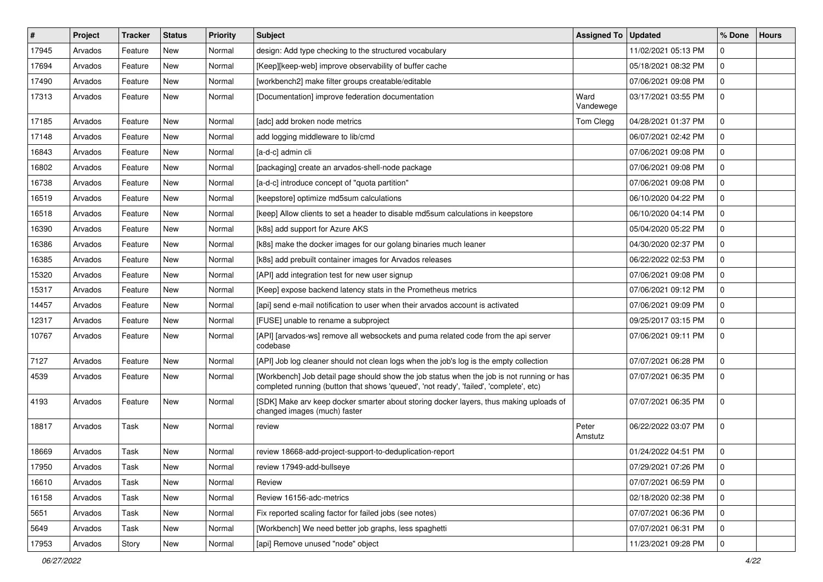| $\vert$ # | Project | <b>Tracker</b> | <b>Status</b> | <b>Priority</b> | <b>Subject</b>                                                                                                                                                                      | <b>Assigned To</b> | <b>Updated</b>      | % Done      | <b>Hours</b> |
|-----------|---------|----------------|---------------|-----------------|-------------------------------------------------------------------------------------------------------------------------------------------------------------------------------------|--------------------|---------------------|-------------|--------------|
| 17945     | Arvados | Feature        | New           | Normal          | design: Add type checking to the structured vocabulary                                                                                                                              |                    | 11/02/2021 05:13 PM | 0           |              |
| 17694     | Arvados | Feature        | <b>New</b>    | Normal          | [Keep][keep-web] improve observability of buffer cache                                                                                                                              |                    | 05/18/2021 08:32 PM | $\mathbf 0$ |              |
| 17490     | Arvados | Feature        | New           | Normal          | [workbench2] make filter groups creatable/editable                                                                                                                                  |                    | 07/06/2021 09:08 PM | $\mathbf 0$ |              |
| 17313     | Arvados | Feature        | New           | Normal          | [Documentation] improve federation documentation                                                                                                                                    | Ward<br>Vandewege  | 03/17/2021 03:55 PM | $\mathbf 0$ |              |
| 17185     | Arvados | Feature        | New           | Normal          | [adc] add broken node metrics                                                                                                                                                       | Tom Clegg          | 04/28/2021 01:37 PM | $\mathbf 0$ |              |
| 17148     | Arvados | Feature        | New           | Normal          | add logging middleware to lib/cmd                                                                                                                                                   |                    | 06/07/2021 02:42 PM | $\mathbf 0$ |              |
| 16843     | Arvados | Feature        | New           | Normal          | [a-d-c] admin cli                                                                                                                                                                   |                    | 07/06/2021 09:08 PM | $\mathbf 0$ |              |
| 16802     | Arvados | Feature        | New           | Normal          | [packaging] create an arvados-shell-node package                                                                                                                                    |                    | 07/06/2021 09:08 PM | $\mathbf 0$ |              |
| 16738     | Arvados | Feature        | <b>New</b>    | Normal          | [a-d-c] introduce concept of "quota partition"                                                                                                                                      |                    | 07/06/2021 09:08 PM | $\mathbf 0$ |              |
| 16519     | Arvados | Feature        | New           | Normal          | [keepstore] optimize md5sum calculations                                                                                                                                            |                    | 06/10/2020 04:22 PM | $\mathbf 0$ |              |
| 16518     | Arvados | Feature        | New           | Normal          | [keep] Allow clients to set a header to disable md5sum calculations in keepstore                                                                                                    |                    | 06/10/2020 04:14 PM | $\mathbf 0$ |              |
| 16390     | Arvados | Feature        | <b>New</b>    | Normal          | [k8s] add support for Azure AKS                                                                                                                                                     |                    | 05/04/2020 05:22 PM | $\mathbf 0$ |              |
| 16386     | Arvados | Feature        | New           | Normal          | [k8s] make the docker images for our golang binaries much leaner                                                                                                                    |                    | 04/30/2020 02:37 PM | $\mathbf 0$ |              |
| 16385     | Arvados | Feature        | <b>New</b>    | Normal          | [k8s] add prebuilt container images for Arvados releases                                                                                                                            |                    | 06/22/2022 02:53 PM | $\mathbf 0$ |              |
| 15320     | Arvados | Feature        | New           | Normal          | [API] add integration test for new user signup                                                                                                                                      |                    | 07/06/2021 09:08 PM | $\mathbf 0$ |              |
| 15317     | Arvados | Feature        | New           | Normal          | [Keep] expose backend latency stats in the Prometheus metrics                                                                                                                       |                    | 07/06/2021 09:12 PM | $\mathbf 0$ |              |
| 14457     | Arvados | Feature        | <b>New</b>    | Normal          | [api] send e-mail notification to user when their arvados account is activated                                                                                                      |                    | 07/06/2021 09:09 PM | $\mathbf 0$ |              |
| 12317     | Arvados | Feature        | New           | Normal          | [FUSE] unable to rename a subproject                                                                                                                                                |                    | 09/25/2017 03:15 PM | 0           |              |
| 10767     | Arvados | Feature        | New           | Normal          | [API] [arvados-ws] remove all websockets and puma related code from the api server<br>codebase                                                                                      |                    | 07/06/2021 09:11 PM | $\mathbf 0$ |              |
| 7127      | Arvados | Feature        | New           | Normal          | [API] Job log cleaner should not clean logs when the job's log is the empty collection                                                                                              |                    | 07/07/2021 06:28 PM | $\mathbf 0$ |              |
| 4539      | Arvados | Feature        | New           | Normal          | [Workbench] Job detail page should show the job status when the job is not running or has<br>completed running (button that shows 'queued', 'not ready', 'failed', 'complete', etc) |                    | 07/07/2021 06:35 PM | $\mathbf 0$ |              |
| 4193      | Arvados | Feature        | New           | Normal          | [SDK] Make arv keep docker smarter about storing docker layers, thus making uploads of<br>changed images (much) faster                                                              |                    | 07/07/2021 06:35 PM | $\mathbf 0$ |              |
| 18817     | Arvados | Task           | <b>New</b>    | Normal          | review                                                                                                                                                                              | Peter<br>Amstutz   | 06/22/2022 03:07 PM | $\mathbf 0$ |              |
| 18669     | Arvados | Task           | New           | Normal          | review 18668-add-project-support-to-deduplication-report                                                                                                                            |                    | 01/24/2022 04:51 PM | 0           |              |
| 17950     | Arvados | Task           | New           | Normal          | review 17949-add-bullseye                                                                                                                                                           |                    | 07/29/2021 07:26 PM | 10          |              |
| 16610     | Arvados | Task           | New           | Normal          | Review                                                                                                                                                                              |                    | 07/07/2021 06:59 PM | $\mathbf 0$ |              |
| 16158     | Arvados | Task           | New           | Normal          | Review 16156-adc-metrics                                                                                                                                                            |                    | 02/18/2020 02:38 PM | $\mathbf 0$ |              |
| 5651      | Arvados | Task           | New           | Normal          | Fix reported scaling factor for failed jobs (see notes)                                                                                                                             |                    | 07/07/2021 06:36 PM | $\mathbf 0$ |              |
| 5649      | Arvados | Task           | New           | Normal          | [Workbench] We need better job graphs, less spaghetti                                                                                                                               |                    | 07/07/2021 06:31 PM | $\mathbf 0$ |              |
| 17953     | Arvados | Story          | New           | Normal          | [api] Remove unused "node" object                                                                                                                                                   |                    | 11/23/2021 09:28 PM | $\mathbf 0$ |              |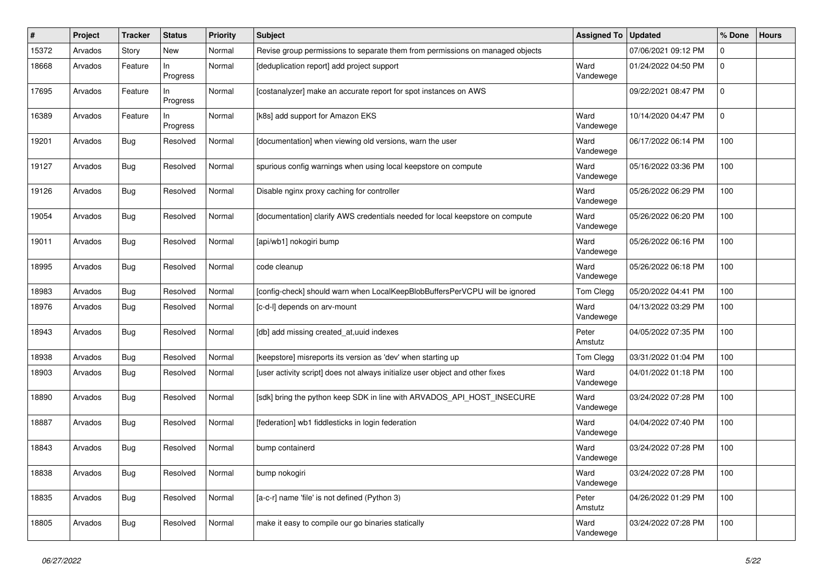| $\#$  | Project | <b>Tracker</b> | <b>Status</b>   | <b>Priority</b> | <b>Subject</b>                                                                | <b>Assigned To</b> | <b>Updated</b>      | % Done      | <b>Hours</b> |
|-------|---------|----------------|-----------------|-----------------|-------------------------------------------------------------------------------|--------------------|---------------------|-------------|--------------|
| 15372 | Arvados | Story          | <b>New</b>      | Normal          | Revise group permissions to separate them from permissions on managed objects |                    | 07/06/2021 09:12 PM | $\mathbf 0$ |              |
| 18668 | Arvados | Feature        | In<br>Progress  | Normal          | [deduplication report] add project support                                    | Ward<br>Vandewege  | 01/24/2022 04:50 PM | $\mathbf 0$ |              |
| 17695 | Arvados | Feature        | ln.<br>Progress | Normal          | [costanalyzer] make an accurate report for spot instances on AWS              |                    | 09/22/2021 08:47 PM | $\Omega$    |              |
| 16389 | Arvados | Feature        | In.<br>Progress | Normal          | [k8s] add support for Amazon EKS                                              | Ward<br>Vandewege  | 10/14/2020 04:47 PM | $\mathbf 0$ |              |
| 19201 | Arvados | <b>Bug</b>     | Resolved        | Normal          | [documentation] when viewing old versions, warn the user                      | Ward<br>Vandewege  | 06/17/2022 06:14 PM | 100         |              |
| 19127 | Arvados | <b>Bug</b>     | Resolved        | Normal          | spurious config warnings when using local keepstore on compute                | Ward<br>Vandewege  | 05/16/2022 03:36 PM | 100         |              |
| 19126 | Arvados | Bug            | Resolved        | Normal          | Disable nginx proxy caching for controller                                    | Ward<br>Vandewege  | 05/26/2022 06:29 PM | 100         |              |
| 19054 | Arvados | <b>Bug</b>     | Resolved        | Normal          | [documentation] clarify AWS credentials needed for local keepstore on compute | Ward<br>Vandewege  | 05/26/2022 06:20 PM | 100         |              |
| 19011 | Arvados | Bug            | Resolved        | Normal          | [api/wb1] nokogiri bump                                                       | Ward<br>Vandewege  | 05/26/2022 06:16 PM | 100         |              |
| 18995 | Arvados | Bug            | Resolved        | Normal          | code cleanup                                                                  | Ward<br>Vandewege  | 05/26/2022 06:18 PM | 100         |              |
| 18983 | Arvados | Bug            | Resolved        | Normal          | [config-check] should warn when LocalKeepBlobBuffersPerVCPU will be ignored   | Tom Clegg          | 05/20/2022 04:41 PM | 100         |              |
| 18976 | Arvados | Bug            | Resolved        | Normal          | [c-d-l] depends on arv-mount                                                  | Ward<br>Vandewege  | 04/13/2022 03:29 PM | 100         |              |
| 18943 | Arvados | Bug            | Resolved        | Normal          | [db] add missing created at, uuid indexes                                     | Peter<br>Amstutz   | 04/05/2022 07:35 PM | 100         |              |
| 18938 | Arvados | Bug            | Resolved        | Normal          | [keepstore] misreports its version as 'dev' when starting up                  | Tom Clegg          | 03/31/2022 01:04 PM | 100         |              |
| 18903 | Arvados | Bug            | Resolved        | Normal          | [user activity script] does not always initialize user object and other fixes | Ward<br>Vandewege  | 04/01/2022 01:18 PM | 100         |              |
| 18890 | Arvados | Bug            | Resolved        | Normal          | [sdk] bring the python keep SDK in line with ARVADOS_API_HOST_INSECURE        | Ward<br>Vandewege  | 03/24/2022 07:28 PM | 100         |              |
| 18887 | Arvados | Bug            | Resolved        | Normal          | [federation] wb1 fiddlesticks in login federation                             | Ward<br>Vandewege  | 04/04/2022 07:40 PM | 100         |              |
| 18843 | Arvados | <b>Bug</b>     | Resolved        | Normal          | bump containerd                                                               | Ward<br>Vandewege  | 03/24/2022 07:28 PM | 100         |              |
| 18838 | Arvados | Bug            | Resolved        | Normal          | bump nokogiri                                                                 | Ward<br>Vandewege  | 03/24/2022 07:28 PM | 100         |              |
| 18835 | Arvados | Bug            | Resolved        | Normal          | [a-c-r] name 'file' is not defined (Python 3)                                 | Peter<br>Amstutz   | 04/26/2022 01:29 PM | 100         |              |
| 18805 | Arvados | Bug            | Resolved        | Normal          | make it easy to compile our go binaries statically                            | Ward<br>Vandewege  | 03/24/2022 07:28 PM | 100         |              |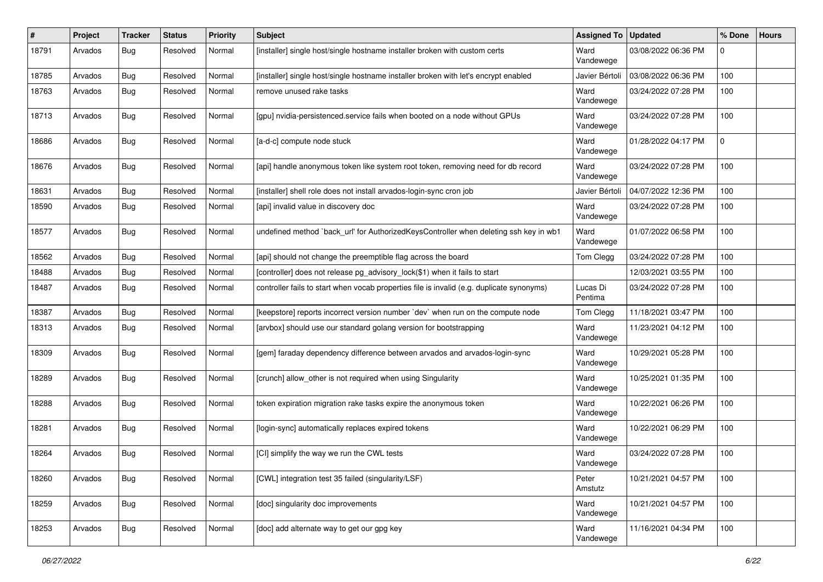| #     | Project | <b>Tracker</b> | <b>Status</b> | <b>Priority</b> | <b>Subject</b>                                                                            | <b>Assigned To</b>  | <b>Updated</b>      | % Done   | <b>Hours</b> |
|-------|---------|----------------|---------------|-----------------|-------------------------------------------------------------------------------------------|---------------------|---------------------|----------|--------------|
| 18791 | Arvados | <b>Bug</b>     | Resolved      | Normal          | [installer] single host/single hostname installer broken with custom certs                | Ward<br>Vandewege   | 03/08/2022 06:36 PM | $\Omega$ |              |
| 18785 | Arvados | Bug            | Resolved      | Normal          | [installer] single host/single hostname installer broken with let's encrypt enabled       | Javier Bértoli      | 03/08/2022 06:36 PM | 100      |              |
| 18763 | Arvados | <b>Bug</b>     | Resolved      | Normal          | remove unused rake tasks                                                                  | Ward<br>Vandewege   | 03/24/2022 07:28 PM | 100      |              |
| 18713 | Arvados | <b>Bug</b>     | Resolved      | Normal          | [gpu] nvidia-persistenced.service fails when booted on a node without GPUs                | Ward<br>Vandewege   | 03/24/2022 07:28 PM | 100      |              |
| 18686 | Arvados | <b>Bug</b>     | Resolved      | Normal          | [a-d-c] compute node stuck                                                                | Ward<br>Vandewege   | 01/28/2022 04:17 PM | 0        |              |
| 18676 | Arvados | Bug            | Resolved      | Normal          | [api] handle anonymous token like system root token, removing need for db record          | Ward<br>Vandewege   | 03/24/2022 07:28 PM | 100      |              |
| 18631 | Arvados | <b>Bug</b>     | Resolved      | Normal          | [installer] shell role does not install arvados-login-sync cron job                       | Javier Bértoli      | 04/07/2022 12:36 PM | 100      |              |
| 18590 | Arvados | <b>Bug</b>     | Resolved      | Normal          | [api] invalid value in discovery doc                                                      | Ward<br>Vandewege   | 03/24/2022 07:28 PM | 100      |              |
| 18577 | Arvados | Bug            | Resolved      | Normal          | undefined method `back_url' for AuthorizedKeysController when deleting ssh key in wb1     | Ward<br>Vandewege   | 01/07/2022 06:58 PM | 100      |              |
| 18562 | Arvados | Bug            | Resolved      | Normal          | [api] should not change the preemptible flag across the board                             | Tom Clegg           | 03/24/2022 07:28 PM | 100      |              |
| 18488 | Arvados | <b>Bug</b>     | Resolved      | Normal          | [controller] does not release pg_advisory_lock(\$1) when it fails to start                |                     | 12/03/2021 03:55 PM | 100      |              |
| 18487 | Arvados | Bug            | Resolved      | Normal          | controller fails to start when vocab properties file is invalid (e.g. duplicate synonyms) | Lucas Di<br>Pentima | 03/24/2022 07:28 PM | 100      |              |
| 18387 | Arvados | <b>Bug</b>     | Resolved      | Normal          | [keepstore] reports incorrect version number `dev` when run on the compute node           | Tom Clegg           | 11/18/2021 03:47 PM | 100      |              |
| 18313 | Arvados | Bug            | Resolved      | Normal          | [arvbox] should use our standard golang version for bootstrapping                         | Ward<br>Vandewege   | 11/23/2021 04:12 PM | 100      |              |
| 18309 | Arvados | <b>Bug</b>     | Resolved      | Normal          | [gem] faraday dependency difference between arvados and arvados-login-sync                | Ward<br>Vandewege   | 10/29/2021 05:28 PM | 100      |              |
| 18289 | Arvados | Bug            | Resolved      | Normal          | [crunch] allow_other is not required when using Singularity                               | Ward<br>Vandewege   | 10/25/2021 01:35 PM | 100      |              |
| 18288 | Arvados | <b>Bug</b>     | Resolved      | Normal          | token expiration migration rake tasks expire the anonymous token                          | Ward<br>Vandewege   | 10/22/2021 06:26 PM | 100      |              |
| 18281 | Arvados | <b>Bug</b>     | Resolved      | Normal          | [login-sync] automatically replaces expired tokens                                        | Ward<br>Vandewege   | 10/22/2021 06:29 PM | 100      |              |
| 18264 | Arvados | Bug            | Resolved      | Normal          | [CI] simplify the way we run the CWL tests                                                | Ward<br>Vandewege   | 03/24/2022 07:28 PM | 100      |              |
| 18260 | Arvados | Bug            | Resolved      | Normal          | [CWL] integration test 35 failed (singularity/LSF)                                        | Peter<br>Amstutz    | 10/21/2021 04:57 PM | 100      |              |
| 18259 | Arvados | <b>Bug</b>     | Resolved      | Normal          | [doc] singularity doc improvements                                                        | Ward<br>Vandewege   | 10/21/2021 04:57 PM | 100      |              |
| 18253 | Arvados | <b>Bug</b>     | Resolved      | Normal          | [doc] add alternate way to get our gpg key                                                | Ward<br>Vandewege   | 11/16/2021 04:34 PM | 100      |              |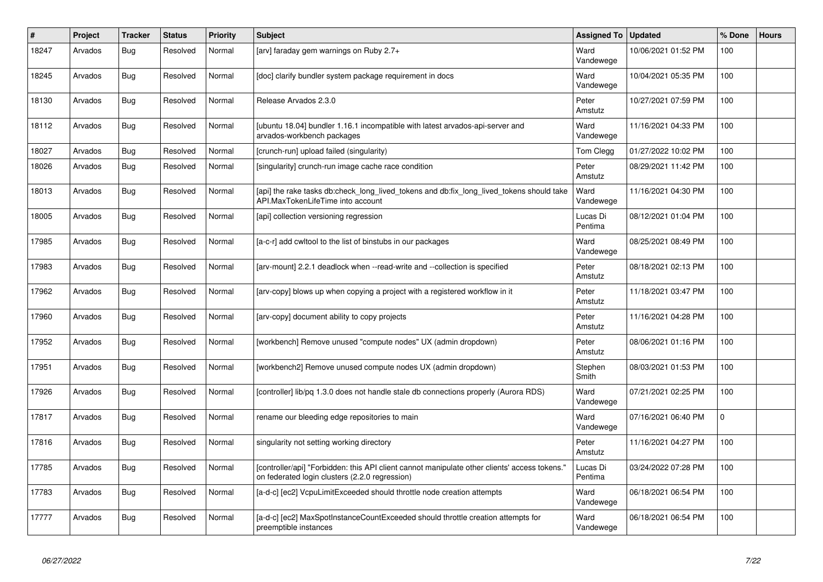| #     | Project | <b>Tracker</b> | <b>Status</b> | <b>Priority</b> | <b>Subject</b>                                                                                                                                  | <b>Assigned To</b>  | <b>Updated</b>      | % Done      | <b>Hours</b> |
|-------|---------|----------------|---------------|-----------------|-------------------------------------------------------------------------------------------------------------------------------------------------|---------------------|---------------------|-------------|--------------|
| 18247 | Arvados | <b>Bug</b>     | Resolved      | Normal          | [arv] faraday gem warnings on Ruby 2.7+                                                                                                         | Ward<br>Vandewege   | 10/06/2021 01:52 PM | 100         |              |
| 18245 | Arvados | <b>Bug</b>     | Resolved      | Normal          | [doc] clarify bundler system package requirement in docs                                                                                        | Ward<br>Vandewege   | 10/04/2021 05:35 PM | 100         |              |
| 18130 | Arvados | <b>Bug</b>     | Resolved      | Normal          | Release Arvados 2.3.0                                                                                                                           | Peter<br>Amstutz    | 10/27/2021 07:59 PM | 100         |              |
| 18112 | Arvados | Bug            | Resolved      | Normal          | Jubuntu 18.04] bundler 1.16.1 incompatible with latest arvados-api-server and<br>arvados-workbench packages                                     | Ward<br>Vandewege   | 11/16/2021 04:33 PM | 100         |              |
| 18027 | Arvados | Bug            | Resolved      | Normal          | [crunch-run] upload failed (singularity)                                                                                                        | Tom Clegg           | 01/27/2022 10:02 PM | 100         |              |
| 18026 | Arvados | Bug            | Resolved      | Normal          | [singularity] crunch-run image cache race condition                                                                                             | Peter<br>Amstutz    | 08/29/2021 11:42 PM | 100         |              |
| 18013 | Arvados | Bug            | Resolved      | Normal          | [api] the rake tasks db:check_long_lived_tokens and db:fix_long_lived_tokens should take<br>API.MaxTokenLifeTime into account                   | Ward<br>Vandewege   | 11/16/2021 04:30 PM | 100         |              |
| 18005 | Arvados | <b>Bug</b>     | Resolved      | Normal          | [api] collection versioning regression                                                                                                          | Lucas Di<br>Pentima | 08/12/2021 01:04 PM | 100         |              |
| 17985 | Arvados | Bug            | Resolved      | Normal          | [a-c-r] add cwltool to the list of binstubs in our packages                                                                                     | Ward<br>Vandewege   | 08/25/2021 08:49 PM | 100         |              |
| 17983 | Arvados | <b>Bug</b>     | Resolved      | Normal          | [arv-mount] 2.2.1 deadlock when --read-write and --collection is specified                                                                      | Peter<br>Amstutz    | 08/18/2021 02:13 PM | 100         |              |
| 17962 | Arvados | Bug            | Resolved      | Normal          | [arv-copy] blows up when copying a project with a registered workflow in it                                                                     | Peter<br>Amstutz    | 11/18/2021 03:47 PM | 100         |              |
| 17960 | Arvados | <b>Bug</b>     | Resolved      | Normal          | [arv-copy] document ability to copy projects                                                                                                    | Peter<br>Amstutz    | 11/16/2021 04:28 PM | 100         |              |
| 17952 | Arvados | <b>Bug</b>     | Resolved      | Normal          | [workbench] Remove unused "compute nodes" UX (admin dropdown)                                                                                   | Peter<br>Amstutz    | 08/06/2021 01:16 PM | 100         |              |
| 17951 | Arvados | Bug            | Resolved      | Normal          | [workbench2] Remove unused compute nodes UX (admin dropdown)                                                                                    | Stephen<br>Smith    | 08/03/2021 01:53 PM | 100         |              |
| 17926 | Arvados | Bug            | Resolved      | Normal          | [controller] lib/pq 1.3.0 does not handle stale db connections properly (Aurora RDS)                                                            | Ward<br>Vandewege   | 07/21/2021 02:25 PM | 100         |              |
| 17817 | Arvados | Bug            | Resolved      | Normal          | rename our bleeding edge repositories to main                                                                                                   | Ward<br>Vandewege   | 07/16/2021 06:40 PM | $\mathbf 0$ |              |
| 17816 | Arvados | <b>Bug</b>     | Resolved      | Normal          | singularity not setting working directory                                                                                                       | Peter<br>Amstutz    | 11/16/2021 04:27 PM | 100         |              |
| 17785 | Arvados | Bug            | Resolved      | Normal          | [controller/api] "Forbidden: this API client cannot manipulate other clients' access tokens."<br>on federated login clusters (2.2.0 regression) | Lucas Di<br>Pentima | 03/24/2022 07:28 PM | 100         |              |
| 17783 | Arvados | Bug            | Resolved      | Normal          | [a-d-c] [ec2] VcpuLimitExceeded should throttle node creation attempts                                                                          | Ward<br>Vandewege   | 06/18/2021 06:54 PM | 100         |              |
| 17777 | Arvados | <b>Bug</b>     | Resolved      | Normal          | [a-d-c] [ec2] MaxSpotInstanceCountExceeded should throttle creation attempts for<br>preemptible instances                                       | Ward<br>Vandewege   | 06/18/2021 06:54 PM | 100         |              |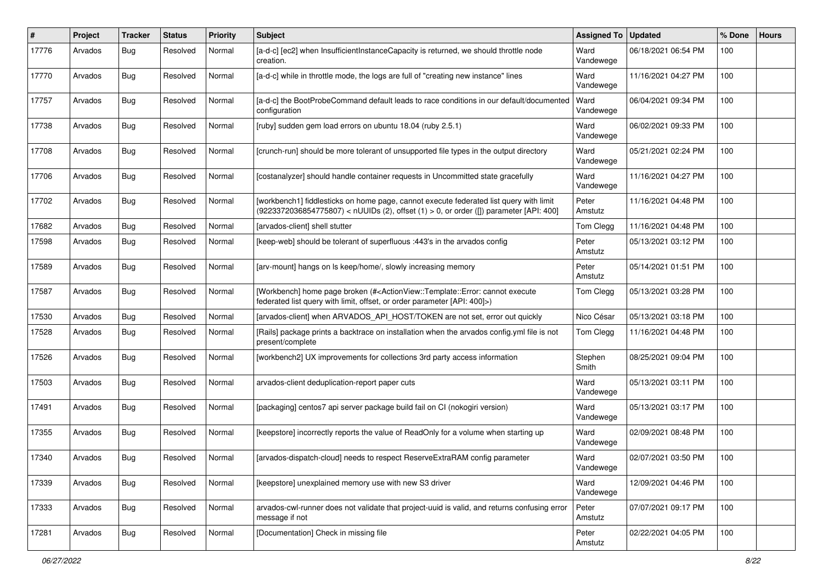| #     | Project | Tracker    | <b>Status</b> | <b>Priority</b> | <b>Subject</b>                                                                                                                                                                                   | <b>Assigned To</b> | <b>Updated</b>      | % Done | <b>Hours</b> |
|-------|---------|------------|---------------|-----------------|--------------------------------------------------------------------------------------------------------------------------------------------------------------------------------------------------|--------------------|---------------------|--------|--------------|
| 17776 | Arvados | <b>Bug</b> | Resolved      | Normal          | [a-d-c] [ec2] when InsufficientInstanceCapacity is returned, we should throttle node<br>creation.                                                                                                | Ward<br>Vandewege  | 06/18/2021 06:54 PM | 100    |              |
| 17770 | Arvados | Bug        | Resolved      | Normal          | [a-d-c] while in throttle mode, the logs are full of "creating new instance" lines                                                                                                               | Ward<br>Vandewege  | 11/16/2021 04:27 PM | 100    |              |
| 17757 | Arvados | <b>Bug</b> | Resolved      | Normal          | [a-d-c] the BootProbeCommand default leads to race conditions in our default/documented<br>configuration                                                                                         | Ward<br>Vandewege  | 06/04/2021 09:34 PM | 100    |              |
| 17738 | Arvados | <b>Bug</b> | Resolved      | Normal          | [ruby] sudden gem load errors on ubuntu 18.04 (ruby 2.5.1)                                                                                                                                       | Ward<br>Vandewege  | 06/02/2021 09:33 PM | 100    |              |
| 17708 | Arvados | Bug        | Resolved      | Normal          | [crunch-run] should be more tolerant of unsupported file types in the output directory                                                                                                           | Ward<br>Vandewege  | 05/21/2021 02:24 PM | 100    |              |
| 17706 | Arvados | Bug        | Resolved      | Normal          | [costanalyzer] should handle container requests in Uncommitted state gracefully                                                                                                                  | Ward<br>Vandewege  | 11/16/2021 04:27 PM | 100    |              |
| 17702 | Arvados | Bug        | Resolved      | Normal          | [workbench1] fiddlesticks on home page, cannot execute federated list query with limit<br>(9223372036854775807) < nUUIDs (2), offset (1) > 0, or order ([]) parameter [API: 400]                 | Peter<br>Amstutz   | 11/16/2021 04:48 PM | 100    |              |
| 17682 | Arvados | <b>Bug</b> | Resolved      | Normal          | [arvados-client] shell stutter                                                                                                                                                                   | Tom Clegg          | 11/16/2021 04:48 PM | 100    |              |
| 17598 | Arvados | <b>Bug</b> | Resolved      | Normal          | [keep-web] should be tolerant of superfluous :443's in the arvados config                                                                                                                        | Peter<br>Amstutz   | 05/13/2021 03:12 PM | 100    |              |
| 17589 | Arvados | <b>Bug</b> | Resolved      | Normal          | [arv-mount] hangs on Is keep/home/, slowly increasing memory                                                                                                                                     | Peter<br>Amstutz   | 05/14/2021 01:51 PM | 100    |              |
| 17587 | Arvados | Bug        | Resolved      | Normal          | [Workbench] home page broken (# <actionview::template::error: cannot="" execute<br="">federated list query with limit, offset, or order parameter [API: 400]&gt;)</actionview::template::error:> | Tom Clegg          | 05/13/2021 03:28 PM | 100    |              |
| 17530 | Arvados | <b>Bug</b> | Resolved      | Normal          | [arvados-client] when ARVADOS_API_HOST/TOKEN are not set, error out quickly                                                                                                                      | Nico César         | 05/13/2021 03:18 PM | 100    |              |
| 17528 | Arvados | <b>Bug</b> | Resolved      | Normal          | [Rails] package prints a backtrace on installation when the arvados config.yml file is not<br>present/complete                                                                                   | Tom Clegg          | 11/16/2021 04:48 PM | 100    |              |
| 17526 | Arvados | <b>Bug</b> | Resolved      | Normal          | [workbench2] UX improvements for collections 3rd party access information                                                                                                                        | Stephen<br>Smith   | 08/25/2021 09:04 PM | 100    |              |
| 17503 | Arvados | <b>Bug</b> | Resolved      | Normal          | arvados-client deduplication-report paper cuts                                                                                                                                                   | Ward<br>Vandewege  | 05/13/2021 03:11 PM | 100    |              |
| 17491 | Arvados | Bug        | Resolved      | Normal          | [packaging] centos7 api server package build fail on CI (nokogiri version)                                                                                                                       | Ward<br>Vandewege  | 05/13/2021 03:17 PM | 100    |              |
| 17355 | Arvados | Bug        | Resolved      | Normal          | [keepstore] incorrectly reports the value of ReadOnly for a volume when starting up                                                                                                              | Ward<br>Vandewege  | 02/09/2021 08:48 PM | 100    |              |
| 17340 | Arvados | Bug        | Resolved      | Normal          | [arvados-dispatch-cloud] needs to respect ReserveExtraRAM config parameter                                                                                                                       | Ward<br>Vandewege  | 02/07/2021 03:50 PM | 100    |              |
| 17339 | Arvados | Bug        | Resolved      | Normal          | [keepstore] unexplained memory use with new S3 driver                                                                                                                                            | Ward<br>Vandewege  | 12/09/2021 04:46 PM | 100    |              |
| 17333 | Arvados | Bug        | Resolved      | Normal          | arvados-cwl-runner does not validate that project-uuid is valid, and returns confusing error<br>message if not                                                                                   | Peter<br>Amstutz   | 07/07/2021 09:17 PM | 100    |              |
| 17281 | Arvados | Bug        | Resolved      | Normal          | [Documentation] Check in missing file                                                                                                                                                            | Peter<br>Amstutz   | 02/22/2021 04:05 PM | 100    |              |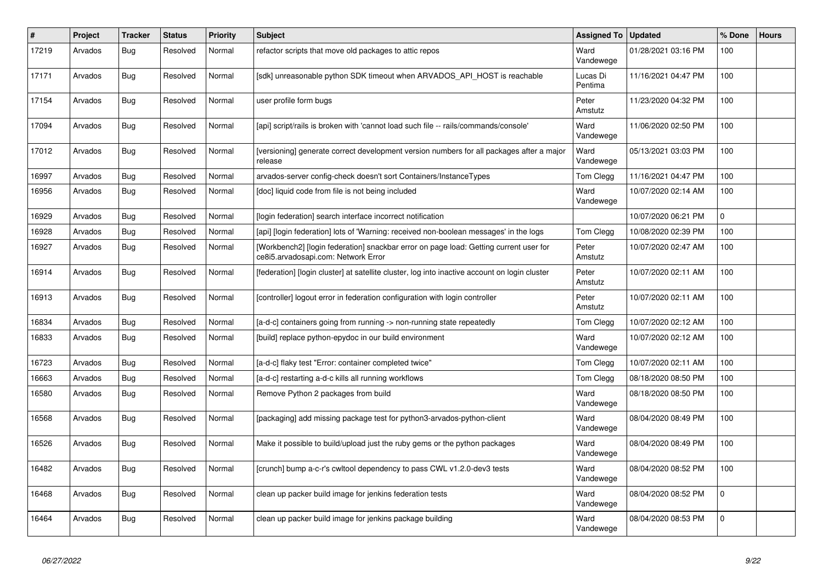| ∦     | Project | <b>Tracker</b> | <b>Status</b> | <b>Priority</b> | <b>Subject</b>                                                                                                               | <b>Assigned To</b>  | <b>Updated</b>      | % Done      | Hours |
|-------|---------|----------------|---------------|-----------------|------------------------------------------------------------------------------------------------------------------------------|---------------------|---------------------|-------------|-------|
| 17219 | Arvados | <b>Bug</b>     | Resolved      | Normal          | refactor scripts that move old packages to attic repos                                                                       | Ward<br>Vandewege   | 01/28/2021 03:16 PM | 100         |       |
| 17171 | Arvados | Bug            | Resolved      | Normal          | [sdk] unreasonable python SDK timeout when ARVADOS_API_HOST is reachable                                                     | Lucas Di<br>Pentima | 11/16/2021 04:47 PM | 100         |       |
| 17154 | Arvados | Bug            | Resolved      | Normal          | user profile form bugs                                                                                                       | Peter<br>Amstutz    | 11/23/2020 04:32 PM | 100         |       |
| 17094 | Arvados | Bug            | Resolved      | Normal          | [api] script/rails is broken with 'cannot load such file -- rails/commands/console'                                          | Ward<br>Vandewege   | 11/06/2020 02:50 PM | 100         |       |
| 17012 | Arvados | <b>Bug</b>     | Resolved      | Normal          | [versioning] generate correct development version numbers for all packages after a major<br>release                          | Ward<br>Vandewege   | 05/13/2021 03:03 PM | 100         |       |
| 16997 | Arvados | <b>Bug</b>     | Resolved      | Normal          | arvados-server config-check doesn't sort Containers/InstanceTypes                                                            | Tom Clegg           | 11/16/2021 04:47 PM | 100         |       |
| 16956 | Arvados | Bug            | Resolved      | Normal          | [doc] liquid code from file is not being included                                                                            | Ward<br>Vandewege   | 10/07/2020 02:14 AM | 100         |       |
| 16929 | Arvados | Bug            | Resolved      | Normal          | [login federation] search interface incorrect notification                                                                   |                     | 10/07/2020 06:21 PM | $\Omega$    |       |
| 16928 | Arvados | Bug            | Resolved      | Normal          | [api] [login federation] lots of 'Warning: received non-boolean messages' in the logs                                        | Tom Clegg           | 10/08/2020 02:39 PM | 100         |       |
| 16927 | Arvados | <b>Bug</b>     | Resolved      | Normal          | [Workbench2] [login federation] snackbar error on page load: Getting current user for<br>ce8i5.arvadosapi.com: Network Error | Peter<br>Amstutz    | 10/07/2020 02:47 AM | 100         |       |
| 16914 | Arvados | Bug            | Resolved      | Normal          | [federation] [login cluster] at satellite cluster, log into inactive account on login cluster                                | Peter<br>Amstutz    | 10/07/2020 02:11 AM | 100         |       |
| 16913 | Arvados | <b>Bug</b>     | Resolved      | Normal          | [controller] logout error in federation configuration with login controller                                                  | Peter<br>Amstutz    | 10/07/2020 02:11 AM | 100         |       |
| 16834 | Arvados | <b>Bug</b>     | Resolved      | Normal          | [a-d-c] containers going from running -> non-running state repeatedly                                                        | Tom Clegg           | 10/07/2020 02:12 AM | 100         |       |
| 16833 | Arvados | <b>Bug</b>     | Resolved      | Normal          | [build] replace python-epydoc in our build environment                                                                       | Ward<br>Vandewege   | 10/07/2020 02:12 AM | 100         |       |
| 16723 | Arvados | Bug            | Resolved      | Normal          | [a-d-c] flaky test "Error: container completed twice"                                                                        | Tom Clegg           | 10/07/2020 02:11 AM | 100         |       |
| 16663 | Arvados | Bug            | Resolved      | Normal          | [a-d-c] restarting a-d-c kills all running workflows                                                                         | Tom Clegg           | 08/18/2020 08:50 PM | 100         |       |
| 16580 | Arvados | Bug            | Resolved      | Normal          | Remove Python 2 packages from build                                                                                          | Ward<br>Vandewege   | 08/18/2020 08:50 PM | 100         |       |
| 16568 | Arvados | Bug            | Resolved      | Normal          | [packaging] add missing package test for python3-arvados-python-client                                                       | Ward<br>Vandewege   | 08/04/2020 08:49 PM | 100         |       |
| 16526 | Arvados | Bug            | Resolved      | Normal          | Make it possible to build/upload just the ruby gems or the python packages                                                   | Ward<br>Vandewege   | 08/04/2020 08:49 PM | 100         |       |
| 16482 | Arvados | <b>Bug</b>     | Resolved      | Normal          | [crunch] bump a-c-r's cwltool dependency to pass CWL v1.2.0-dev3 tests                                                       | Ward<br>Vandewege   | 08/04/2020 08:52 PM | 100         |       |
| 16468 | Arvados | <b>Bug</b>     | Resolved      | Normal          | clean up packer build image for jenkins federation tests                                                                     | Ward<br>Vandewege   | 08/04/2020 08:52 PM | $\Omega$    |       |
| 16464 | Arvados | Bug            | Resolved      | Normal          | clean up packer build image for jenkins package building                                                                     | Ward<br>Vandewege   | 08/04/2020 08:53 PM | $\mathbf 0$ |       |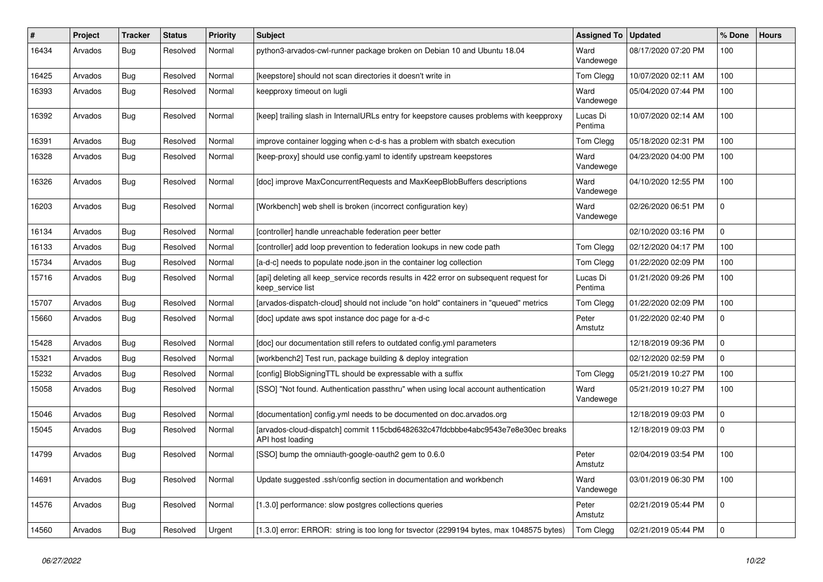| #     | Project | <b>Tracker</b> | <b>Status</b> | Priority | <b>Subject</b>                                                                                              | <b>Assigned To</b>  | <b>Updated</b>      | % Done      | <b>Hours</b> |
|-------|---------|----------------|---------------|----------|-------------------------------------------------------------------------------------------------------------|---------------------|---------------------|-------------|--------------|
| 16434 | Arvados | Bug            | Resolved      | Normal   | python3-arvados-cwl-runner package broken on Debian 10 and Ubuntu 18.04                                     | Ward<br>Vandewege   | 08/17/2020 07:20 PM | 100         |              |
| 16425 | Arvados | <b>Bug</b>     | Resolved      | Normal   | [keepstore] should not scan directories it doesn't write in                                                 | Tom Clegg           | 10/07/2020 02:11 AM | 100         |              |
| 16393 | Arvados | <b>Bug</b>     | Resolved      | Normal   | keepproxy timeout on lugli                                                                                  | Ward<br>Vandewege   | 05/04/2020 07:44 PM | 100         |              |
| 16392 | Arvados | Bug            | Resolved      | Normal   | [keep] trailing slash in InternalURLs entry for keepstore causes problems with keepproxy                    | Lucas Di<br>Pentima | 10/07/2020 02:14 AM | 100         |              |
| 16391 | Arvados | <b>Bug</b>     | Resolved      | Normal   | improve container logging when c-d-s has a problem with sbatch execution                                    | Tom Clegg           | 05/18/2020 02:31 PM | 100         |              |
| 16328 | Arvados | <b>Bug</b>     | Resolved      | Normal   | [keep-proxy] should use config.yaml to identify upstream keepstores                                         | Ward<br>Vandewege   | 04/23/2020 04:00 PM | 100         |              |
| 16326 | Arvados | <b>Bug</b>     | Resolved      | Normal   | [doc] improve MaxConcurrentRequests and MaxKeepBlobBuffers descriptions                                     | Ward<br>Vandewege   | 04/10/2020 12:55 PM | 100         |              |
| 16203 | Arvados | <b>Bug</b>     | Resolved      | Normal   | [Workbench] web shell is broken (incorrect configuration key)                                               | Ward<br>Vandewege   | 02/26/2020 06:51 PM | $\mathbf 0$ |              |
| 16134 | Arvados | <b>Bug</b>     | Resolved      | Normal   | [controller] handle unreachable federation peer better                                                      |                     | 02/10/2020 03:16 PM | $\mathbf 0$ |              |
| 16133 | Arvados | <b>Bug</b>     | Resolved      | Normal   | [controller] add loop prevention to federation lookups in new code path                                     | Tom Clegg           | 02/12/2020 04:17 PM | 100         |              |
| 15734 | Arvados | <b>Bug</b>     | Resolved      | Normal   | [a-d-c] needs to populate node.json in the container log collection                                         | Tom Clegg           | 01/22/2020 02:09 PM | 100         |              |
| 15716 | Arvados | <b>Bug</b>     | Resolved      | Normal   | [api] deleting all keep_service records results in 422 error on subsequent request for<br>keep service list | Lucas Di<br>Pentima | 01/21/2020 09:26 PM | 100         |              |
| 15707 | Arvados | Bug            | Resolved      | Normal   | [arvados-dispatch-cloud] should not include "on hold" containers in "queued" metrics                        | Tom Clegg           | 01/22/2020 02:09 PM | 100         |              |
| 15660 | Arvados | <b>Bug</b>     | Resolved      | Normal   | [doc] update aws spot instance doc page for a-d-c                                                           | Peter<br>Amstutz    | 01/22/2020 02:40 PM | $\mathbf 0$ |              |
| 15428 | Arvados | Bug            | Resolved      | Normal   | [doc] our documentation still refers to outdated config.yml parameters                                      |                     | 12/18/2019 09:36 PM | $\mathbf 0$ |              |
| 15321 | Arvados | Bug            | Resolved      | Normal   | [workbench2] Test run, package building & deploy integration                                                |                     | 02/12/2020 02:59 PM | $\mathbf 0$ |              |
| 15232 | Arvados | Bug            | Resolved      | Normal   | [config] BlobSigningTTL should be expressable with a suffix                                                 | Tom Clegg           | 05/21/2019 10:27 PM | 100         |              |
| 15058 | Arvados | <b>Bug</b>     | Resolved      | Normal   | [SSO] "Not found. Authentication passthru" when using local account authentication                          | Ward<br>Vandewege   | 05/21/2019 10:27 PM | 100         |              |
| 15046 | Arvados | Bug            | Resolved      | Normal   | [documentation] config.yml needs to be documented on doc.arvados.org                                        |                     | 12/18/2019 09:03 PM | $\mathbf 0$ |              |
| 15045 | Arvados | Bug            | Resolved      | Normal   | [arvados-cloud-dispatch] commit 115cbd6482632c47fdcbbbe4abc9543e7e8e30ec breaks<br>API host loading         |                     | 12/18/2019 09:03 PM | $\mathbf 0$ |              |
| 14799 | Arvados | <b>Bug</b>     | Resolved      | Normal   | [SSO] bump the omniauth-google-oauth2 gem to 0.6.0                                                          | Peter<br>Amstutz    | 02/04/2019 03:54 PM | 100         |              |
| 14691 | Arvados | Bug            | Resolved      | Normal   | Update suggested .ssh/config section in documentation and workbench                                         | Ward<br>Vandewege   | 03/01/2019 06:30 PM | 100         |              |
| 14576 | Arvados | <b>Bug</b>     | Resolved      | Normal   | [1.3.0] performance: slow postgres collections queries                                                      | Peter<br>Amstutz    | 02/21/2019 05:44 PM | $\mathbf 0$ |              |
| 14560 | Arvados | Bug            | Resolved      | Urgent   | [1.3.0] error: ERROR: string is too long for tsvector (2299194 bytes, max 1048575 bytes)                    | Tom Clegg           | 02/21/2019 05:44 PM | $\mathbf 0$ |              |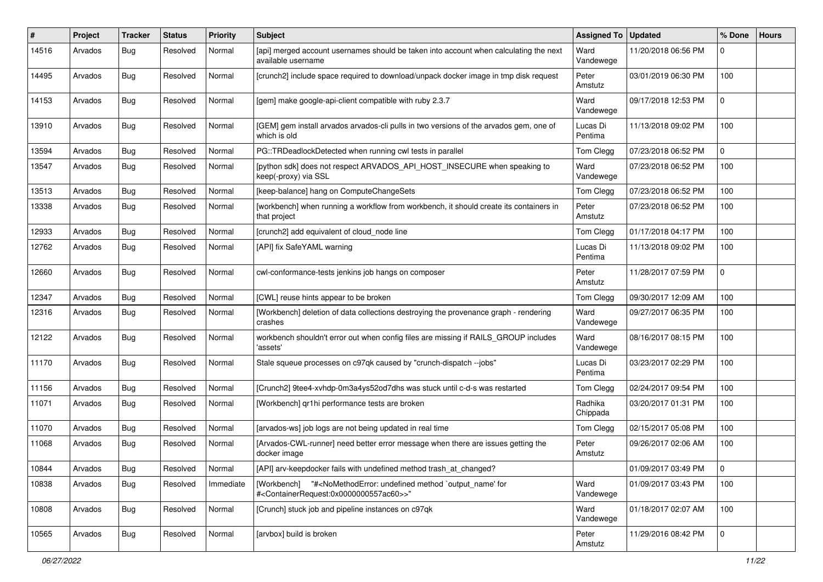| #     | Project | Tracker    | <b>Status</b> | <b>Priority</b> | <b>Subject</b>                                                                                                                                                                      | <b>Assigned To</b>  | <b>Updated</b>      | % Done      | <b>Hours</b> |
|-------|---------|------------|---------------|-----------------|-------------------------------------------------------------------------------------------------------------------------------------------------------------------------------------|---------------------|---------------------|-------------|--------------|
| 14516 | Arvados | <b>Bug</b> | Resolved      | Normal          | [api] merged account usernames should be taken into account when calculating the next<br>available username                                                                         | Ward<br>Vandewege   | 11/20/2018 06:56 PM | $\Omega$    |              |
| 14495 | Arvados | Bug        | Resolved      | Normal          | [crunch2] include space required to download/unpack docker image in tmp disk request                                                                                                | Peter<br>Amstutz    | 03/01/2019 06:30 PM | 100         |              |
| 14153 | Arvados | Bug        | Resolved      | Normal          | [gem] make google-api-client compatible with ruby 2.3.7                                                                                                                             | Ward<br>Vandewege   | 09/17/2018 12:53 PM | $\mathbf 0$ |              |
| 13910 | Arvados | Bug        | Resolved      | Normal          | [GEM] gem install arvados arvados-cli pulls in two versions of the arvados gem, one of<br>which is old                                                                              | Lucas Di<br>Pentima | 11/13/2018 09:02 PM | 100         |              |
| 13594 | Arvados | <b>Bug</b> | Resolved      | Normal          | PG::TRDeadlockDetected when running cwl tests in parallel                                                                                                                           | Tom Clegg           | 07/23/2018 06:52 PM | $\mathbf 0$ |              |
| 13547 | Arvados | <b>Bug</b> | Resolved      | Normal          | [python sdk] does not respect ARVADOS_API_HOST_INSECURE when speaking to<br>keep(-proxy) via SSL                                                                                    | Ward<br>Vandewege   | 07/23/2018 06:52 PM | 100         |              |
| 13513 | Arvados | <b>Bug</b> | Resolved      | Normal          | [keep-balance] hang on ComputeChangeSets                                                                                                                                            | Tom Clegg           | 07/23/2018 06:52 PM | 100         |              |
| 13338 | Arvados | <b>Bug</b> | Resolved      | Normal          | [workbench] when running a workflow from workbench, it should create its containers in<br>that project                                                                              | Peter<br>Amstutz    | 07/23/2018 06:52 PM | 100         |              |
| 12933 | Arvados | Bug        | Resolved      | Normal          | [crunch2] add equivalent of cloud node line                                                                                                                                         | Tom Clegg           | 01/17/2018 04:17 PM | 100         |              |
| 12762 | Arvados | Bug        | Resolved      | Normal          | [API] fix SafeYAML warning                                                                                                                                                          | Lucas Di<br>Pentima | 11/13/2018 09:02 PM | 100         |              |
| 12660 | Arvados | Bug        | Resolved      | Normal          | cwl-conformance-tests jenkins job hangs on composer                                                                                                                                 | Peter<br>Amstutz    | 11/28/2017 07:59 PM | $\mathbf 0$ |              |
| 12347 | Arvados | <b>Bug</b> | Resolved      | Normal          | [CWL] reuse hints appear to be broken                                                                                                                                               | Tom Clegg           | 09/30/2017 12:09 AM | 100         |              |
| 12316 | Arvados | Bug        | Resolved      | Normal          | [Workbench] deletion of data collections destroying the provenance graph - rendering<br>crashes                                                                                     | Ward<br>Vandewege   | 09/27/2017 06:35 PM | 100         |              |
| 12122 | Arvados | Bug        | Resolved      | Normal          | workbench shouldn't error out when config files are missing if RAILS_GROUP includes<br>'assets'                                                                                     | Ward<br>Vandewege   | 08/16/2017 08:15 PM | 100         |              |
| 11170 | Arvados | <b>Bug</b> | Resolved      | Normal          | Stale squeue processes on c97qk caused by "crunch-dispatch --jobs"                                                                                                                  | Lucas Di<br>Pentima | 03/23/2017 02:29 PM | 100         |              |
| 11156 | Arvados | Bug        | Resolved      | Normal          | [Crunch2] 9tee4-xvhdp-0m3a4ys52od7dhs was stuck until c-d-s was restarted                                                                                                           | Tom Clegg           | 02/24/2017 09:54 PM | 100         |              |
| 11071 | Arvados | <b>Bug</b> | Resolved      | Normal          | [Workbench] gr1hi performance tests are broken                                                                                                                                      | Radhika<br>Chippada | 03/20/2017 01:31 PM | 100         |              |
| 11070 | Arvados | <b>Bug</b> | Resolved      | Normal          | [arvados-ws] job logs are not being updated in real time                                                                                                                            | Tom Clegg           | 02/15/2017 05:08 PM | 100         |              |
| 11068 | Arvados | <b>Bug</b> | Resolved      | Normal          | [Arvados-CWL-runner] need better error message when there are issues getting the<br>docker image                                                                                    | Peter<br>Amstutz    | 09/26/2017 02:06 AM | 100         |              |
| 10844 | Arvados | <b>Bug</b> | Resolved      | Normal          | [API] arv-keepdocker fails with undefined method trash_at_changed?                                                                                                                  |                     | 01/09/2017 03:49 PM | l 0         |              |
| 10838 | Arvados | Bug        | Resolved      | Immediate       | "# <nomethoderror: `output_name'="" for<br="" method="" undefined="">[Workbench]<br/>#<containerrequest:0x0000000557ac60>&gt;"</containerrequest:0x0000000557ac60></nomethoderror:> | Ward<br>Vandewege   | 01/09/2017 03:43 PM | 100         |              |
| 10808 | Arvados | <b>Bug</b> | Resolved      | Normal          | [Crunch] stuck job and pipeline instances on c97qk                                                                                                                                  | Ward<br>Vandewege   | 01/18/2017 02:07 AM | 100         |              |
| 10565 | Arvados | Bug        | Resolved      | Normal          | [arvbox] build is broken                                                                                                                                                            | Peter<br>Amstutz    | 11/29/2016 08:42 PM | $\pmb{0}$   |              |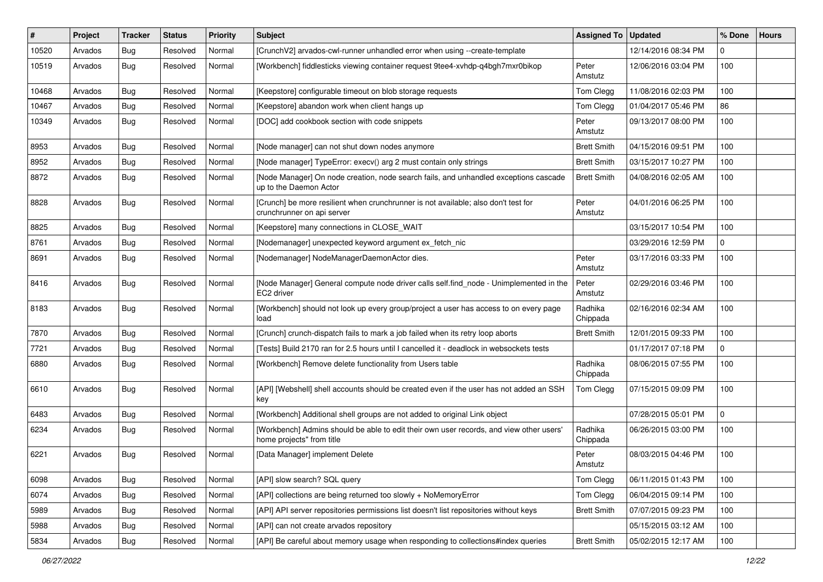| #     | Project | <b>Tracker</b> | <b>Status</b> | <b>Priority</b> | <b>Subject</b>                                                                                                       | <b>Assigned To</b>  | <b>Updated</b>      | % Done      | <b>Hours</b> |
|-------|---------|----------------|---------------|-----------------|----------------------------------------------------------------------------------------------------------------------|---------------------|---------------------|-------------|--------------|
| 10520 | Arvados | Bug            | Resolved      | Normal          | [CrunchV2] arvados-cwl-runner unhandled error when using --create-template                                           |                     | 12/14/2016 08:34 PM | $\mathbf 0$ |              |
| 10519 | Arvados | Bug            | Resolved      | Normal          | [Workbench] fiddlesticks viewing container request 9tee4-xvhdp-q4bgh7mxr0bikop                                       | Peter<br>Amstutz    | 12/06/2016 03:04 PM | 100         |              |
| 10468 | Arvados | <b>Bug</b>     | Resolved      | Normal          | [Keepstore] configurable timeout on blob storage requests                                                            | Tom Clegg           | 11/08/2016 02:03 PM | 100         |              |
| 10467 | Arvados | <b>Bug</b>     | Resolved      | Normal          | [Keepstore] abandon work when client hangs up                                                                        | Tom Clegg           | 01/04/2017 05:46 PM | 86          |              |
| 10349 | Arvados | <b>Bug</b>     | Resolved      | Normal          | [DOC] add cookbook section with code snippets                                                                        | Peter<br>Amstutz    | 09/13/2017 08:00 PM | 100         |              |
| 8953  | Arvados | Bug            | Resolved      | Normal          | [Node manager] can not shut down nodes anymore                                                                       | <b>Brett Smith</b>  | 04/15/2016 09:51 PM | 100         |              |
| 8952  | Arvados | <b>Bug</b>     | Resolved      | Normal          | [Node manager] TypeError: execv() arg 2 must contain only strings                                                    | <b>Brett Smith</b>  | 03/15/2017 10:27 PM | 100         |              |
| 8872  | Arvados | <b>Bug</b>     | Resolved      | Normal          | [Node Manager] On node creation, node search fails, and unhandled exceptions cascade<br>up to the Daemon Actor       | <b>Brett Smith</b>  | 04/08/2016 02:05 AM | 100         |              |
| 8828  | Arvados | Bug            | Resolved      | Normal          | [Crunch] be more resilient when crunchrunner is not available; also don't test for<br>crunchrunner on api server     | Peter<br>Amstutz    | 04/01/2016 06:25 PM | 100         |              |
| 8825  | Arvados | Bug            | Resolved      | Normal          | [Keepstore] many connections in CLOSE WAIT                                                                           |                     | 03/15/2017 10:54 PM | 100         |              |
| 8761  | Arvados | <b>Bug</b>     | Resolved      | Normal          | [Nodemanager] unexpected keyword argument ex_fetch_nic                                                               |                     | 03/29/2016 12:59 PM | 0           |              |
| 8691  | Arvados | Bug            | Resolved      | Normal          | [Nodemanager] NodeManagerDaemonActor dies.                                                                           | Peter<br>Amstutz    | 03/17/2016 03:33 PM | 100         |              |
| 8416  | Arvados | Bug            | Resolved      | Normal          | [Node Manager] General compute node driver calls self.find_node - Unimplemented in the<br>EC2 driver                 | Peter<br>Amstutz    | 02/29/2016 03:46 PM | 100         |              |
| 8183  | Arvados | Bug            | Resolved      | Normal          | [Workbench] should not look up every group/project a user has access to on every page<br>load                        | Radhika<br>Chippada | 02/16/2016 02:34 AM | 100         |              |
| 7870  | Arvados | Bug            | Resolved      | Normal          | [Crunch] crunch-dispatch fails to mark a job failed when its retry loop aborts                                       | <b>Brett Smith</b>  | 12/01/2015 09:33 PM | 100         |              |
| 7721  | Arvados | <b>Bug</b>     | Resolved      | Normal          | [Tests] Build 2170 ran for 2.5 hours until I cancelled it - deadlock in websockets tests                             |                     | 01/17/2017 07:18 PM | 0           |              |
| 6880  | Arvados | Bug            | Resolved      | Normal          | [Workbench] Remove delete functionality from Users table                                                             | Radhika<br>Chippada | 08/06/2015 07:55 PM | 100         |              |
| 6610  | Arvados | Bug            | Resolved      | Normal          | [API] [Webshell] shell accounts should be created even if the user has not added an SSH<br>key                       | Tom Clegg           | 07/15/2015 09:09 PM | 100         |              |
| 6483  | Arvados | Bug            | Resolved      | Normal          | [Workbench] Additional shell groups are not added to original Link object                                            |                     | 07/28/2015 05:01 PM | $\mathbf 0$ |              |
| 6234  | Arvados | <b>Bug</b>     | Resolved      | Normal          | [Workbench] Admins should be able to edit their own user records, and view other users'<br>home projects" from title | Radhika<br>Chippada | 06/26/2015 03:00 PM | 100         |              |
| 6221  | Arvados | Bug            | Resolved      | Normal          | [Data Manager] implement Delete                                                                                      | Peter<br>Amstutz    | 08/03/2015 04:46 PM | 100         |              |
| 6098  | Arvados | <b>Bug</b>     | Resolved      | Normal          | [API] slow search? SQL query                                                                                         | Tom Clegg           | 06/11/2015 01:43 PM | 100         |              |
| 6074  | Arvados | <b>Bug</b>     | Resolved      | Normal          | [API] collections are being returned too slowly + NoMemoryError                                                      | Tom Clegg           | 06/04/2015 09:14 PM | 100         |              |
| 5989  | Arvados | Bug            | Resolved      | Normal          | [API] API server repositories permissions list doesn't list repositories without keys                                | <b>Brett Smith</b>  | 07/07/2015 09:23 PM | 100         |              |
| 5988  | Arvados | <b>Bug</b>     | Resolved      | Normal          | [API] can not create arvados repository                                                                              |                     | 05/15/2015 03:12 AM | 100         |              |
| 5834  | Arvados | Bug            | Resolved      | Normal          | [API] Be careful about memory usage when responding to collections#index queries                                     | <b>Brett Smith</b>  | 05/02/2015 12:17 AM | 100         |              |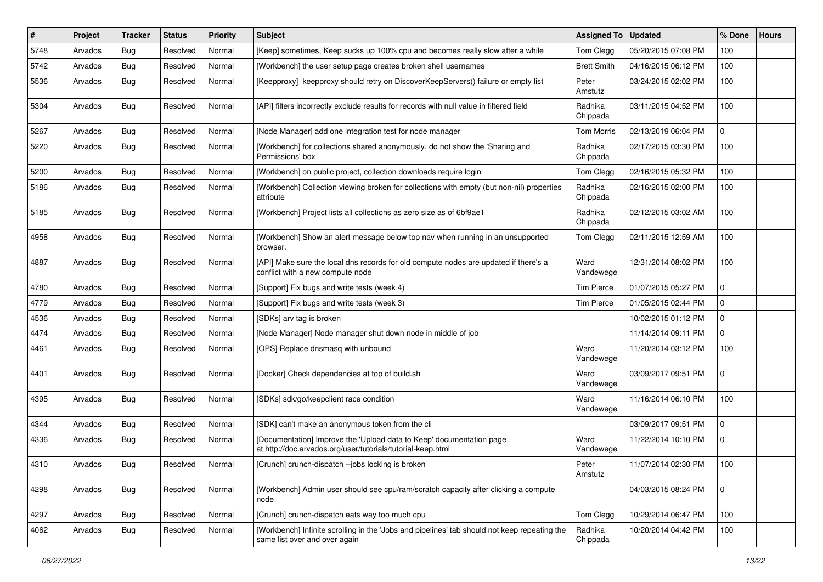| ∦    | Project | <b>Tracker</b> | <b>Status</b> | <b>Priority</b> | <b>Subject</b>                                                                                                                      | <b>Assigned To</b>  | <b>Updated</b>      | % Done      | <b>Hours</b> |
|------|---------|----------------|---------------|-----------------|-------------------------------------------------------------------------------------------------------------------------------------|---------------------|---------------------|-------------|--------------|
| 5748 | Arvados | <b>Bug</b>     | Resolved      | Normal          | [Keep] sometimes, Keep sucks up 100% cpu and becomes really slow after a while                                                      | Tom Clegg           | 05/20/2015 07:08 PM | 100         |              |
| 5742 | Arvados | Bug            | Resolved      | Normal          | [Workbench] the user setup page creates broken shell usernames                                                                      | <b>Brett Smith</b>  | 04/16/2015 06:12 PM | 100         |              |
| 5536 | Arvados | <b>Bug</b>     | Resolved      | Normal          | [Keepproxy] keepproxy should retry on DiscoverKeepServers() failure or empty list                                                   | Peter<br>Amstutz    | 03/24/2015 02:02 PM | 100         |              |
| 5304 | Arvados | Bug            | Resolved      | Normal          | [API] filters incorrectly exclude results for records with null value in filtered field                                             | Radhika<br>Chippada | 03/11/2015 04:52 PM | 100         |              |
| 5267 | Arvados | Bug            | Resolved      | Normal          | [Node Manager] add one integration test for node manager                                                                            | Tom Morris          | 02/13/2019 06:04 PM | $\mathbf 0$ |              |
| 5220 | Arvados | Bug            | Resolved      | Normal          | [Workbench] for collections shared anonymously, do not show the 'Sharing and<br>Permissions' box                                    | Radhika<br>Chippada | 02/17/2015 03:30 PM | 100         |              |
| 5200 | Arvados | Bug            | Resolved      | Normal          | [Workbench] on public project, collection downloads require login                                                                   | Tom Clegg           | 02/16/2015 05:32 PM | 100         |              |
| 5186 | Arvados | Bug            | Resolved      | Normal          | [Workbench] Collection viewing broken for collections with empty (but non-nil) properties<br>attribute                              | Radhika<br>Chippada | 02/16/2015 02:00 PM | 100         |              |
| 5185 | Arvados | Bug            | Resolved      | Normal          | [Workbench] Project lists all collections as zero size as of 6bf9ae1                                                                | Radhika<br>Chippada | 02/12/2015 03:02 AM | 100         |              |
| 4958 | Arvados | Bug            | Resolved      | Normal          | [Workbench] Show an alert message below top nav when running in an unsupported<br>browser.                                          | Tom Clegg           | 02/11/2015 12:59 AM | 100         |              |
| 4887 | Arvados | Bug            | Resolved      | Normal          | [API] Make sure the local dns records for old compute nodes are updated if there's a<br>conflict with a new compute node            | Ward<br>Vandewege   | 12/31/2014 08:02 PM | 100         |              |
| 4780 | Arvados | <b>Bug</b>     | Resolved      | Normal          | [Support] Fix bugs and write tests (week 4)                                                                                         | <b>Tim Pierce</b>   | 01/07/2015 05:27 PM | 0           |              |
| 4779 | Arvados | <b>Bug</b>     | Resolved      | Normal          | [Support] Fix bugs and write tests (week 3)                                                                                         | <b>Tim Pierce</b>   | 01/05/2015 02:44 PM | $\Omega$    |              |
| 4536 | Arvados | Bug            | Resolved      | Normal          | [SDKs] arv tag is broken                                                                                                            |                     | 10/02/2015 01:12 PM | $\Omega$    |              |
| 4474 | Arvados | <b>Bug</b>     | Resolved      | Normal          | [Node Manager] Node manager shut down node in middle of job                                                                         |                     | 11/14/2014 09:11 PM | 0           |              |
| 4461 | Arvados | Bug            | Resolved      | Normal          | [OPS] Replace dnsmasq with unbound                                                                                                  | Ward<br>Vandewege   | 11/20/2014 03:12 PM | 100         |              |
| 4401 | Arvados | Bug            | Resolved      | Normal          | [Docker] Check dependencies at top of build.sh                                                                                      | Ward<br>Vandewege   | 03/09/2017 09:51 PM | $\Omega$    |              |
| 4395 | Arvados | Bug            | Resolved      | Normal          | [SDKs] sdk/go/keepclient race condition                                                                                             | Ward<br>Vandewege   | 11/16/2014 06:10 PM | 100         |              |
| 4344 | Arvados | <b>Bug</b>     | Resolved      | Normal          | [SDK] can't make an anonymous token from the cli                                                                                    |                     | 03/09/2017 09:51 PM | $\mathbf 0$ |              |
| 4336 | Arvados | Bug            | Resolved      | Normal          | [Documentation] Improve the 'Upload data to Keep' documentation page<br>at http://doc.arvados.org/user/tutorials/tutorial-keep.html | Ward<br>Vandewege   | 11/22/2014 10:10 PM | $\mathbf 0$ |              |
| 4310 | Arvados | Bug            | Resolved      | Normal          | [Crunch] crunch-dispatch --jobs locking is broken                                                                                   | Peter<br>Amstutz    | 11/07/2014 02:30 PM | 100         |              |
| 4298 | Arvados | Bug            | Resolved      | Normal          | [Workbench] Admin user should see cpu/ram/scratch capacity after clicking a compute<br>node                                         |                     | 04/03/2015 08:24 PM | $\mathbf 0$ |              |
| 4297 | Arvados | Bug            | Resolved      | Normal          | [Crunch] crunch-dispatch eats way too much cpu                                                                                      | Tom Clegg           | 10/29/2014 06:47 PM | 100         |              |
| 4062 | Arvados | Bug            | Resolved      | Normal          | [Workbench] Infinite scrolling in the 'Jobs and pipelines' tab should not keep repeating the<br>same list over and over again       | Radhika<br>Chippada | 10/20/2014 04:42 PM | 100         |              |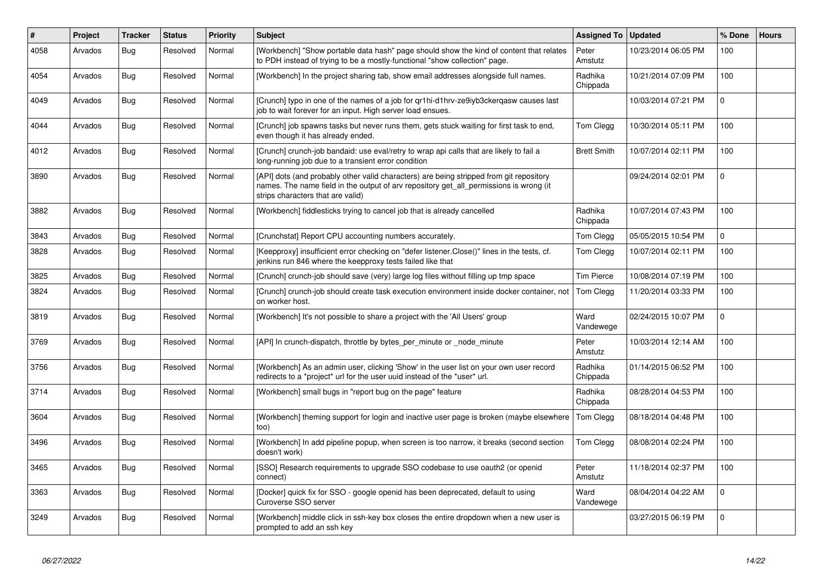| #    | Project | <b>Tracker</b> | <b>Status</b> | Priority | <b>Subject</b>                                                                                                                                                                                                         | <b>Assigned To</b>  | <b>Updated</b>      | % Done      | <b>Hours</b> |
|------|---------|----------------|---------------|----------|------------------------------------------------------------------------------------------------------------------------------------------------------------------------------------------------------------------------|---------------------|---------------------|-------------|--------------|
| 4058 | Arvados | Bug            | Resolved      | Normal   | [Workbench] "Show portable data hash" page should show the kind of content that relates<br>to PDH instead of trying to be a mostly-functional "show collection" page.                                                  | Peter<br>Amstutz    | 10/23/2014 06:05 PM | 100         |              |
| 4054 | Arvados | Bug            | Resolved      | Normal   | [Workbench] In the project sharing tab, show email addresses alongside full names.                                                                                                                                     | Radhika<br>Chippada | 10/21/2014 07:09 PM | 100         |              |
| 4049 | Arvados | <b>Bug</b>     | Resolved      | Normal   | [Crunch] typo in one of the names of a job for qr1hi-d1hrv-ze9iyb3ckerqasw causes last<br>job to wait forever for an input. High server load ensues.                                                                   |                     | 10/03/2014 07:21 PM | $\pmb{0}$   |              |
| 4044 | Arvados | <b>Bug</b>     | Resolved      | Normal   | [Crunch] job spawns tasks but never runs them, gets stuck waiting for first task to end,<br>even though it has already ended.                                                                                          | Tom Clegg           | 10/30/2014 05:11 PM | 100         |              |
| 4012 | Arvados | Bug            | Resolved      | Normal   | [Crunch] crunch-job bandaid: use eval/retry to wrap api calls that are likely to fail a<br>long-running job due to a transient error condition                                                                         | <b>Brett Smith</b>  | 10/07/2014 02:11 PM | 100         |              |
| 3890 | Arvados | Bug            | Resolved      | Normal   | [API] dots (and probably other valid characters) are being stripped from git repository<br>names. The name field in the output of arv repository get_all_permissions is wrong (it<br>strips characters that are valid) |                     | 09/24/2014 02:01 PM | $\mathbf 0$ |              |
| 3882 | Arvados | Bug            | Resolved      | Normal   | [Workbench] fiddlesticks trying to cancel job that is already cancelled                                                                                                                                                | Radhika<br>Chippada | 10/07/2014 07:43 PM | 100         |              |
| 3843 | Arvados | <b>Bug</b>     | Resolved      | Normal   | [Crunchstat] Report CPU accounting numbers accurately.                                                                                                                                                                 | Tom Clegg           | 05/05/2015 10:54 PM | $\mathbf 0$ |              |
| 3828 | Arvados | Bug            | Resolved      | Normal   | [Keepproxy] insufficient error checking on "defer listener.Close()" lines in the tests, cf.<br>jenkins run 846 where the keepproxy tests failed like that                                                              | Tom Clegg           | 10/07/2014 02:11 PM | 100         |              |
| 3825 | Arvados | Bug            | Resolved      | Normal   | [Crunch] crunch-job should save (very) large log files without filling up tmp space                                                                                                                                    | <b>Tim Pierce</b>   | 10/08/2014 07:19 PM | 100         |              |
| 3824 | Arvados | Bug            | Resolved      | Normal   | [Crunch] crunch-job should create task execution environment inside docker container, not<br>on worker host.                                                                                                           | Tom Clegg           | 11/20/2014 03:33 PM | 100         |              |
| 3819 | Arvados | Bug            | Resolved      | Normal   | [Workbench] It's not possible to share a project with the 'All Users' group                                                                                                                                            | Ward<br>Vandewege   | 02/24/2015 10:07 PM | $\mathbf 0$ |              |
| 3769 | Arvados | <b>Bug</b>     | Resolved      | Normal   | [API] In crunch-dispatch, throttle by bytes_per_minute or _node_minute                                                                                                                                                 | Peter<br>Amstutz    | 10/03/2014 12:14 AM | 100         |              |
| 3756 | Arvados | Bug            | Resolved      | Normal   | [Workbench] As an admin user, clicking 'Show' in the user list on your own user record<br>redirects to a *project* url for the user uuid instead of the *user* url.                                                    | Radhika<br>Chippada | 01/14/2015 06:52 PM | 100         |              |
| 3714 | Arvados | <b>Bug</b>     | Resolved      | Normal   | [Workbench] small bugs in "report bug on the page" feature                                                                                                                                                             | Radhika<br>Chippada | 08/28/2014 04:53 PM | 100         |              |
| 3604 | Arvados | Bug            | Resolved      | Normal   | [Workbench] theming support for login and inactive user page is broken (maybe elsewhere<br>too)                                                                                                                        | Tom Clegg           | 08/18/2014 04:48 PM | 100         |              |
| 3496 | Arvados | Bug            | Resolved      | Normal   | [Workbench] In add pipeline popup, when screen is too narrow, it breaks (second section<br>doesn't work)                                                                                                               | Tom Clegg           | 08/08/2014 02:24 PM | 100         |              |
| 3465 | Arvados | <b>Bug</b>     | Resolved      | Normal   | [SSO] Research requirements to upgrade SSO codebase to use oauth2 (or openid<br>connect)                                                                                                                               | Peter<br>Amstutz    | 11/18/2014 02:37 PM | 100         |              |
| 3363 | Arvados | <b>Bug</b>     | Resolved      | Normal   | [Docker] quick fix for SSO - google openid has been deprecated, default to using<br>Curoverse SSO server                                                                                                               | Ward<br>Vandewege   | 08/04/2014 04:22 AM | $\mathbf 0$ |              |
| 3249 | Arvados | Bug            | Resolved      | Normal   | [Workbench] middle click in ssh-key box closes the entire dropdown when a new user is<br>prompted to add an ssh key                                                                                                    |                     | 03/27/2015 06:19 PM | $\mathbf 0$ |              |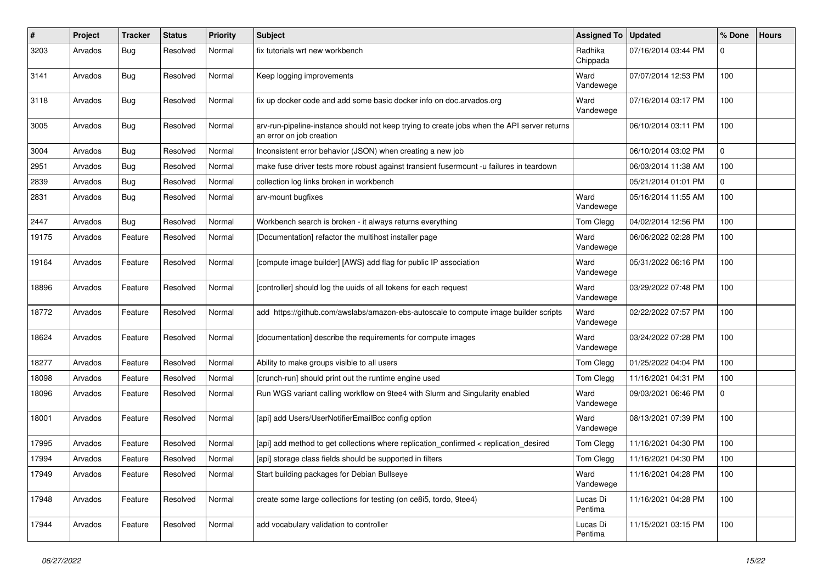| #     | Project | <b>Tracker</b> | <b>Status</b> | <b>Priority</b> | <b>Subject</b>                                                                                                          | <b>Assigned To</b>  | <b>Updated</b>      | % Done      | <b>Hours</b> |
|-------|---------|----------------|---------------|-----------------|-------------------------------------------------------------------------------------------------------------------------|---------------------|---------------------|-------------|--------------|
| 3203  | Arvados | Bug            | Resolved      | Normal          | fix tutorials wrt new workbench                                                                                         | Radhika<br>Chippada | 07/16/2014 03:44 PM | $\Omega$    |              |
| 3141  | Arvados | Bug            | Resolved      | Normal          | Keep logging improvements                                                                                               | Ward<br>Vandewege   | 07/07/2014 12:53 PM | 100         |              |
| 3118  | Arvados | Bug            | Resolved      | Normal          | fix up docker code and add some basic docker info on doc.arvados.org                                                    | Ward<br>Vandewege   | 07/16/2014 03:17 PM | 100         |              |
| 3005  | Arvados | <b>Bug</b>     | Resolved      | Normal          | arv-run-pipeline-instance should not keep trying to create jobs when the API server returns<br>an error on job creation |                     | 06/10/2014 03:11 PM | 100         |              |
| 3004  | Arvados | Bug            | Resolved      | Normal          | Inconsistent error behavior (JSON) when creating a new job                                                              |                     | 06/10/2014 03:02 PM | $\Omega$    |              |
| 2951  | Arvados | Bug            | Resolved      | Normal          | make fuse driver tests more robust against transient fusermount -u failures in teardown                                 |                     | 06/03/2014 11:38 AM | 100         |              |
| 2839  | Arvados | Bug            | Resolved      | Normal          | collection log links broken in workbench                                                                                |                     | 05/21/2014 01:01 PM | $\mathbf 0$ |              |
| 2831  | Arvados | Bug            | Resolved      | Normal          | arv-mount bugfixes                                                                                                      | Ward<br>Vandewege   | 05/16/2014 11:55 AM | 100         |              |
| 2447  | Arvados | Bug            | Resolved      | Normal          | Workbench search is broken - it always returns everything                                                               | Tom Clegg           | 04/02/2014 12:56 PM | 100         |              |
| 19175 | Arvados | Feature        | Resolved      | Normal          | [Documentation] refactor the multihost installer page                                                                   | Ward<br>Vandewege   | 06/06/2022 02:28 PM | 100         |              |
| 19164 | Arvados | Feature        | Resolved      | Normal          | [compute image builder] [AWS] add flag for public IP association                                                        | Ward<br>Vandewege   | 05/31/2022 06:16 PM | 100         |              |
| 18896 | Arvados | Feature        | Resolved      | Normal          | [controller] should log the uuids of all tokens for each request                                                        | Ward<br>Vandewege   | 03/29/2022 07:48 PM | 100         |              |
| 18772 | Arvados | Feature        | Resolved      | Normal          | add https://github.com/awslabs/amazon-ebs-autoscale to compute image builder scripts                                    | Ward<br>Vandewege   | 02/22/2022 07:57 PM | 100         |              |
| 18624 | Arvados | Feature        | Resolved      | Normal          | [documentation] describe the requirements for compute images                                                            | Ward<br>Vandewege   | 03/24/2022 07:28 PM | 100         |              |
| 18277 | Arvados | Feature        | Resolved      | Normal          | Ability to make groups visible to all users                                                                             | Tom Clegg           | 01/25/2022 04:04 PM | 100         |              |
| 18098 | Arvados | Feature        | Resolved      | Normal          | [crunch-run] should print out the runtime engine used                                                                   | Tom Clegg           | 11/16/2021 04:31 PM | 100         |              |
| 18096 | Arvados | Feature        | Resolved      | Normal          | Run WGS variant calling workflow on 9tee4 with Slurm and Singularity enabled                                            | Ward<br>Vandewege   | 09/03/2021 06:46 PM | 0           |              |
| 18001 | Arvados | Feature        | Resolved      | Normal          | [api] add Users/UserNotifierEmailBcc config option                                                                      | Ward<br>Vandewege   | 08/13/2021 07:39 PM | 100         |              |
| 17995 | Arvados | Feature        | Resolved      | Normal          | [api] add method to get collections where replication_confirmed < replication_desired                                   | Tom Clegg           | 11/16/2021 04:30 PM | 100         |              |
| 17994 | Arvados | Feature        | Resolved      | Normal          | [api] storage class fields should be supported in filters                                                               | Tom Clegg           | 11/16/2021 04:30 PM | 100         |              |
| 17949 | Arvados | Feature        | Resolved      | Normal          | Start building packages for Debian Bullseye                                                                             | Ward<br>Vandewege   | 11/16/2021 04:28 PM | 100         |              |
| 17948 | Arvados | Feature        | Resolved      | Normal          | create some large collections for testing (on ce8i5, tordo, 9tee4)                                                      | Lucas Di<br>Pentima | 11/16/2021 04:28 PM | 100         |              |
| 17944 | Arvados | Feature        | Resolved      | Normal          | add vocabulary validation to controller                                                                                 | Lucas Di<br>Pentima | 11/15/2021 03:15 PM | 100         |              |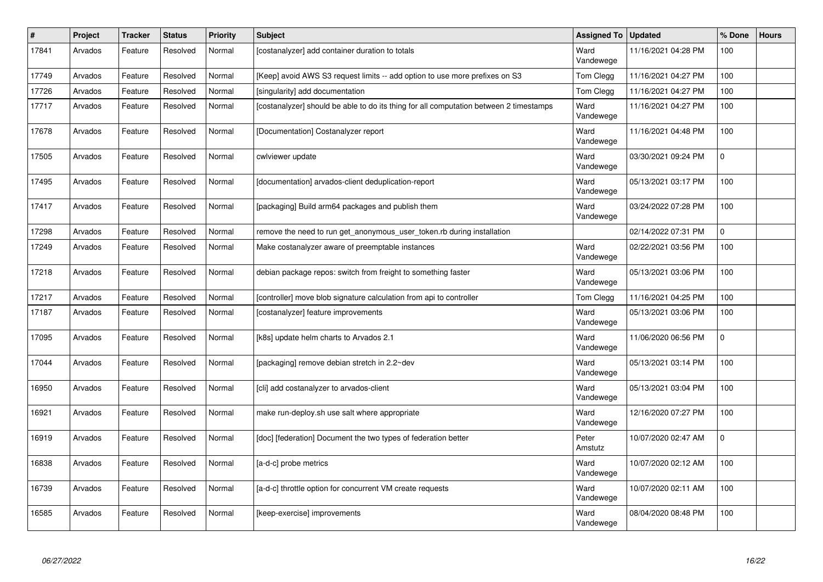| #     | Project | <b>Tracker</b> | <b>Status</b> | <b>Priority</b> | <b>Subject</b>                                                                         | <b>Assigned To</b> | <b>Updated</b>      | % Done      | <b>Hours</b> |
|-------|---------|----------------|---------------|-----------------|----------------------------------------------------------------------------------------|--------------------|---------------------|-------------|--------------|
| 17841 | Arvados | Feature        | Resolved      | Normal          | [costanalyzer] add container duration to totals                                        | Ward<br>Vandewege  | 11/16/2021 04:28 PM | 100         |              |
| 17749 | Arvados | Feature        | Resolved      | Normal          | [Keep] avoid AWS S3 request limits -- add option to use more prefixes on S3            | Tom Clegg          | 11/16/2021 04:27 PM | 100         |              |
| 17726 | Arvados | Feature        | Resolved      | Normal          | [singularity] add documentation                                                        | Tom Clegg          | 11/16/2021 04:27 PM | 100         |              |
| 17717 | Arvados | Feature        | Resolved      | Normal          | [costanalyzer] should be able to do its thing for all computation between 2 timestamps | Ward<br>Vandewege  | 11/16/2021 04:27 PM | 100         |              |
| 17678 | Arvados | Feature        | Resolved      | Normal          | [Documentation] Costanalyzer report                                                    | Ward<br>Vandewege  | 11/16/2021 04:48 PM | 100         |              |
| 17505 | Arvados | Feature        | Resolved      | Normal          | cwlviewer update                                                                       | Ward<br>Vandewege  | 03/30/2021 09:24 PM | $\mathbf 0$ |              |
| 17495 | Arvados | Feature        | Resolved      | Normal          | [documentation] arvados-client deduplication-report                                    | Ward<br>Vandewege  | 05/13/2021 03:17 PM | 100         |              |
| 17417 | Arvados | Feature        | Resolved      | Normal          | [packaging] Build arm64 packages and publish them                                      | Ward<br>Vandewege  | 03/24/2022 07:28 PM | 100         |              |
| 17298 | Arvados | Feature        | Resolved      | Normal          | remove the need to run get anonymous user token.rb during installation                 |                    | 02/14/2022 07:31 PM | $\mathbf 0$ |              |
| 17249 | Arvados | Feature        | Resolved      | Normal          | Make costanalyzer aware of preemptable instances                                       | Ward<br>Vandewege  | 02/22/2021 03:56 PM | 100         |              |
| 17218 | Arvados | Feature        | Resolved      | Normal          | debian package repos: switch from freight to something faster                          | Ward<br>Vandewege  | 05/13/2021 03:06 PM | 100         |              |
| 17217 | Arvados | Feature        | Resolved      | Normal          | [controller] move blob signature calculation from api to controller                    | Tom Clegg          | 11/16/2021 04:25 PM | 100         |              |
| 17187 | Arvados | Feature        | Resolved      | Normal          | [costanalyzer] feature improvements                                                    | Ward<br>Vandewege  | 05/13/2021 03:06 PM | 100         |              |
| 17095 | Arvados | Feature        | Resolved      | Normal          | [k8s] update helm charts to Arvados 2.1                                                | Ward<br>Vandewege  | 11/06/2020 06:56 PM | $\mathbf 0$ |              |
| 17044 | Arvados | Feature        | Resolved      | Normal          | [packaging] remove debian stretch in 2.2~dev                                           | Ward<br>Vandewege  | 05/13/2021 03:14 PM | 100         |              |
| 16950 | Arvados | Feature        | Resolved      | Normal          | [cli] add costanalyzer to arvados-client                                               | Ward<br>Vandewege  | 05/13/2021 03:04 PM | 100         |              |
| 16921 | Arvados | Feature        | Resolved      | Normal          | make run-deploy.sh use salt where appropriate                                          | Ward<br>Vandewege  | 12/16/2020 07:27 PM | 100         |              |
| 16919 | Arvados | Feature        | Resolved      | Normal          | [doc] [federation] Document the two types of federation better                         | Peter<br>Amstutz   | 10/07/2020 02:47 AM | $\mathbf 0$ |              |
| 16838 | Arvados | Feature        | Resolved      | Normal          | [a-d-c] probe metrics                                                                  | Ward<br>Vandewege  | 10/07/2020 02:12 AM | 100         |              |
| 16739 | Arvados | Feature        | Resolved      | Normal          | [a-d-c] throttle option for concurrent VM create requests                              | Ward<br>Vandewege  | 10/07/2020 02:11 AM | 100         |              |
| 16585 | Arvados | Feature        | Resolved      | Normal          | [keep-exercise] improvements                                                           | Ward<br>Vandewege  | 08/04/2020 08:48 PM | 100         |              |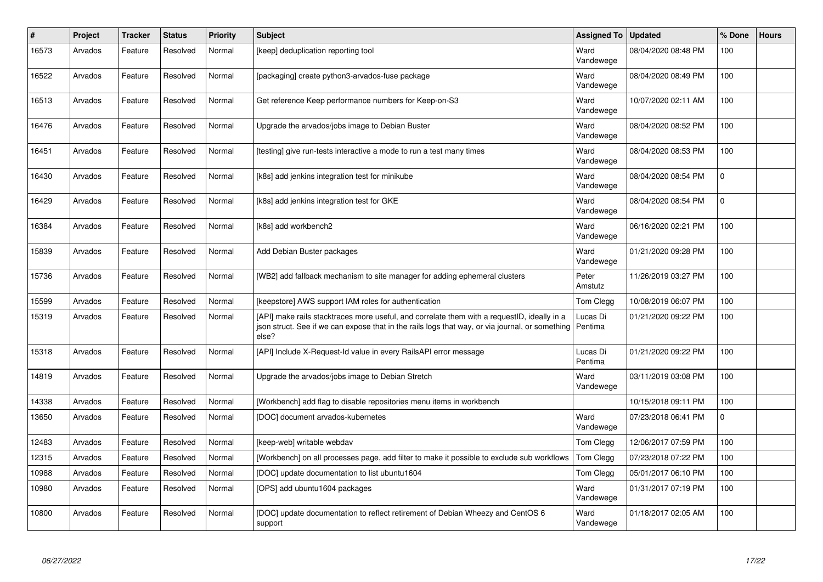| #     | Project | <b>Tracker</b> | <b>Status</b> | <b>Priority</b> | <b>Subject</b>                                                                                                                                                                                                    | <b>Assigned To</b>  | <b>Updated</b>      | % Done    | <b>Hours</b> |
|-------|---------|----------------|---------------|-----------------|-------------------------------------------------------------------------------------------------------------------------------------------------------------------------------------------------------------------|---------------------|---------------------|-----------|--------------|
| 16573 | Arvados | Feature        | Resolved      | Normal          | [keep] deduplication reporting tool                                                                                                                                                                               | Ward<br>Vandewege   | 08/04/2020 08:48 PM | 100       |              |
| 16522 | Arvados | Feature        | Resolved      | Normal          | [packaging] create python3-arvados-fuse package                                                                                                                                                                   | Ward<br>Vandewege   | 08/04/2020 08:49 PM | 100       |              |
| 16513 | Arvados | Feature        | Resolved      | Normal          | Get reference Keep performance numbers for Keep-on-S3                                                                                                                                                             | Ward<br>Vandewege   | 10/07/2020 02:11 AM | 100       |              |
| 16476 | Arvados | Feature        | Resolved      | Normal          | Upgrade the arvados/jobs image to Debian Buster                                                                                                                                                                   | Ward<br>Vandewege   | 08/04/2020 08:52 PM | 100       |              |
| 16451 | Arvados | Feature        | Resolved      | Normal          | [testing] give run-tests interactive a mode to run a test many times                                                                                                                                              | Ward<br>Vandewege   | 08/04/2020 08:53 PM | 100       |              |
| 16430 | Arvados | Feature        | Resolved      | Normal          | [k8s] add jenkins integration test for minikube                                                                                                                                                                   | Ward<br>Vandewege   | 08/04/2020 08:54 PM | 0         |              |
| 16429 | Arvados | Feature        | Resolved      | Normal          | [k8s] add jenkins integration test for GKE                                                                                                                                                                        | Ward<br>Vandewege   | 08/04/2020 08:54 PM | $\Omega$  |              |
| 16384 | Arvados | Feature        | Resolved      | Normal          | [k8s] add workbench2                                                                                                                                                                                              | Ward<br>Vandewege   | 06/16/2020 02:21 PM | 100       |              |
| 15839 | Arvados | Feature        | Resolved      | Normal          | Add Debian Buster packages                                                                                                                                                                                        | Ward<br>Vandewege   | 01/21/2020 09:28 PM | 100       |              |
| 15736 | Arvados | Feature        | Resolved      | Normal          | [WB2] add fallback mechanism to site manager for adding ephemeral clusters                                                                                                                                        | Peter<br>Amstutz    | 11/26/2019 03:27 PM | 100       |              |
| 15599 | Arvados | Feature        | Resolved      | Normal          | [keepstore] AWS support IAM roles for authentication                                                                                                                                                              | Tom Clegg           | 10/08/2019 06:07 PM | 100       |              |
| 15319 | Arvados | Feature        | Resolved      | Normal          | [API] make rails stacktraces more useful, and correlate them with a requestID, ideally in a<br>json struct. See if we can expose that in the rails logs that way, or via journal, or something   Pentima<br>else? | Lucas Di            | 01/21/2020 09:22 PM | 100       |              |
| 15318 | Arvados | Feature        | Resolved      | Normal          | [API] Include X-Request-Id value in every RailsAPI error message                                                                                                                                                  | Lucas Di<br>Pentima | 01/21/2020 09:22 PM | 100       |              |
| 14819 | Arvados | Feature        | Resolved      | Normal          | Upgrade the arvados/jobs image to Debian Stretch                                                                                                                                                                  | Ward<br>Vandewege   | 03/11/2019 03:08 PM | 100       |              |
| 14338 | Arvados | Feature        | Resolved      | Normal          | [Workbench] add flag to disable repositories menu items in workbench                                                                                                                                              |                     | 10/15/2018 09:11 PM | 100       |              |
| 13650 | Arvados | Feature        | Resolved      | Normal          | [DOC] document arvados-kubernetes                                                                                                                                                                                 | Ward<br>Vandewege   | 07/23/2018 06:41 PM | $\pmb{0}$ |              |
| 12483 | Arvados | Feature        | Resolved      | Normal          | [keep-web] writable webdav                                                                                                                                                                                        | Tom Clegg           | 12/06/2017 07:59 PM | 100       |              |
| 12315 | Arvados | Feature        | Resolved      | Normal          | [Workbench] on all processes page, add filter to make it possible to exclude sub workflows                                                                                                                        | Tom Clegg           | 07/23/2018 07:22 PM | 100       |              |
| 10988 | Arvados | Feature        | Resolved      | Normal          | [DOC] update documentation to list ubuntu1604                                                                                                                                                                     | Tom Clegg           | 05/01/2017 06:10 PM | 100       |              |
| 10980 | Arvados | Feature        | Resolved      | Normal          | [OPS] add ubuntu1604 packages                                                                                                                                                                                     | Ward<br>Vandewege   | 01/31/2017 07:19 PM | 100       |              |
| 10800 | Arvados | Feature        | Resolved      | Normal          | [DOC] update documentation to reflect retirement of Debian Wheezy and CentOS 6<br>support                                                                                                                         | Ward<br>Vandewege   | 01/18/2017 02:05 AM | 100       |              |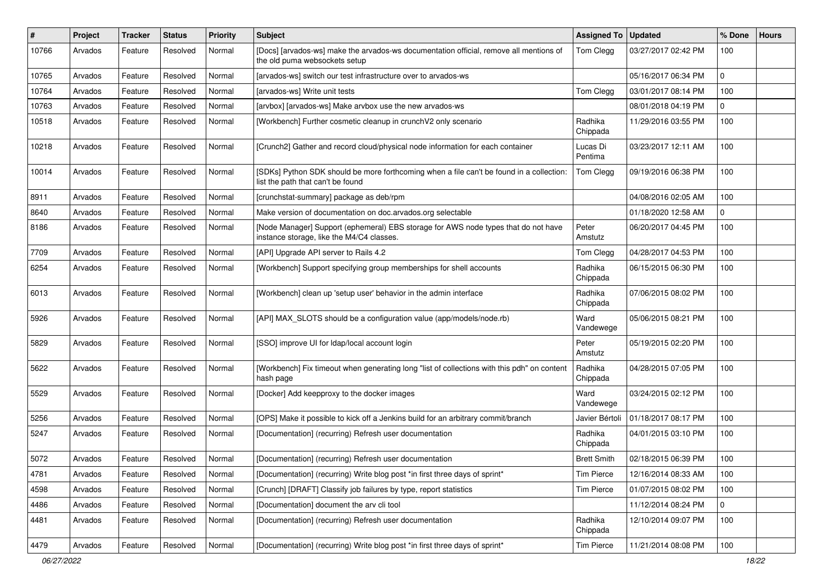| #     | Project | Tracker | <b>Status</b> | <b>Priority</b> | <b>Subject</b>                                                                                                                  | <b>Assigned To</b>  | <b>Updated</b>      | % Done      | <b>Hours</b> |
|-------|---------|---------|---------------|-----------------|---------------------------------------------------------------------------------------------------------------------------------|---------------------|---------------------|-------------|--------------|
| 10766 | Arvados | Feature | Resolved      | Normal          | [Docs] [arvados-ws] make the arvados-ws documentation official, remove all mentions of<br>the old puma websockets setup         | Tom Clegg           | 03/27/2017 02:42 PM | 100         |              |
| 10765 | Arvados | Feature | Resolved      | Normal          | [arvados-ws] switch our test infrastructure over to arvados-ws                                                                  |                     | 05/16/2017 06:34 PM | $\mathbf 0$ |              |
| 10764 | Arvados | Feature | Resolved      | Normal          | [arvados-ws] Write unit tests                                                                                                   | Tom Clegg           | 03/01/2017 08:14 PM | 100         |              |
| 10763 | Arvados | Feature | Resolved      | Normal          | [arvbox] [arvados-ws] Make arvbox use the new arvados-ws                                                                        |                     | 08/01/2018 04:19 PM | $\mathbf 0$ |              |
| 10518 | Arvados | Feature | Resolved      | Normal          | [Workbench] Further cosmetic cleanup in crunchV2 only scenario                                                                  | Radhika<br>Chippada | 11/29/2016 03:55 PM | 100         |              |
| 10218 | Arvados | Feature | Resolved      | Normal          | [Crunch2] Gather and record cloud/physical node information for each container                                                  | Lucas Di<br>Pentima | 03/23/2017 12:11 AM | 100         |              |
| 10014 | Arvados | Feature | Resolved      | Normal          | [SDKs] Python SDK should be more forthcoming when a file can't be found in a collection:<br>list the path that can't be found   | Tom Clegg           | 09/19/2016 06:38 PM | 100         |              |
| 8911  | Arvados | Feature | Resolved      | Normal          | [crunchstat-summary] package as deb/rpm                                                                                         |                     | 04/08/2016 02:05 AM | 100         |              |
| 8640  | Arvados | Feature | Resolved      | Normal          | Make version of documentation on doc.arvados.org selectable                                                                     |                     | 01/18/2020 12:58 AM | $\mathbf 0$ |              |
| 8186  | Arvados | Feature | Resolved      | Normal          | [Node Manager] Support (ephemeral) EBS storage for AWS node types that do not have<br>instance storage, like the M4/C4 classes. | Peter<br>Amstutz    | 06/20/2017 04:45 PM | 100         |              |
| 7709  | Arvados | Feature | Resolved      | Normal          | [API] Upgrade API server to Rails 4.2                                                                                           | Tom Clegg           | 04/28/2017 04:53 PM | 100         |              |
| 6254  | Arvados | Feature | Resolved      | Normal          | [Workbench] Support specifying group memberships for shell accounts                                                             | Radhika<br>Chippada | 06/15/2015 06:30 PM | 100         |              |
| 6013  | Arvados | Feature | Resolved      | Normal          | [Workbench] clean up 'setup user' behavior in the admin interface                                                               | Radhika<br>Chippada | 07/06/2015 08:02 PM | 100         |              |
| 5926  | Arvados | Feature | Resolved      | Normal          | [API] MAX_SLOTS should be a configuration value (app/models/node.rb)                                                            | Ward<br>Vandewege   | 05/06/2015 08:21 PM | 100         |              |
| 5829  | Arvados | Feature | Resolved      | Normal          | [SSO] improve UI for Idap/local account login                                                                                   | Peter<br>Amstutz    | 05/19/2015 02:20 PM | 100         |              |
| 5622  | Arvados | Feature | Resolved      | Normal          | [Workbench] Fix timeout when generating long "list of collections with this pdh" on content<br>hash page                        | Radhika<br>Chippada | 04/28/2015 07:05 PM | 100         |              |
| 5529  | Arvados | Feature | Resolved      | Normal          | [Docker] Add keepproxy to the docker images                                                                                     | Ward<br>Vandewege   | 03/24/2015 02:12 PM | 100         |              |
| 5256  | Arvados | Feature | Resolved      | Normal          | [OPS] Make it possible to kick off a Jenkins build for an arbitrary commit/branch                                               | Javier Bértoli      | 01/18/2017 08:17 PM | 100         |              |
| 5247  | Arvados | Feature | Resolved      | Normal          | [Documentation] (recurring) Refresh user documentation                                                                          | Radhika<br>Chippada | 04/01/2015 03:10 PM | 100         |              |
| 5072  | Arvados | Feature | Resolved      | Normal          | [Documentation] (recurring) Refresh user documentation                                                                          | <b>Brett Smith</b>  | 02/18/2015 06:39 PM | 100         |              |
| 4781  | Arvados | Feature | Resolved      | Normal          | [Documentation] (recurring) Write blog post *in first three days of sprint*                                                     | <b>Tim Pierce</b>   | 12/16/2014 08:33 AM | 100         |              |
| 4598  | Arvados | Feature | Resolved      | Normal          | [Crunch] [DRAFT] Classify job failures by type, report statistics                                                               | <b>Tim Pierce</b>   | 01/07/2015 08:02 PM | 100         |              |
| 4486  | Arvados | Feature | Resolved      | Normal          | [Documentation] document the arv cli tool                                                                                       |                     | 11/12/2014 08:24 PM | $\mathbf 0$ |              |
| 4481  | Arvados | Feature | Resolved      | Normal          | [Documentation] (recurring) Refresh user documentation                                                                          | Radhika<br>Chippada | 12/10/2014 09:07 PM | 100         |              |
| 4479  | Arvados | Feature | Resolved      | Normal          | [Documentation] (recurring) Write blog post *in first three days of sprint*                                                     | <b>Tim Pierce</b>   | 11/21/2014 08:08 PM | 100         |              |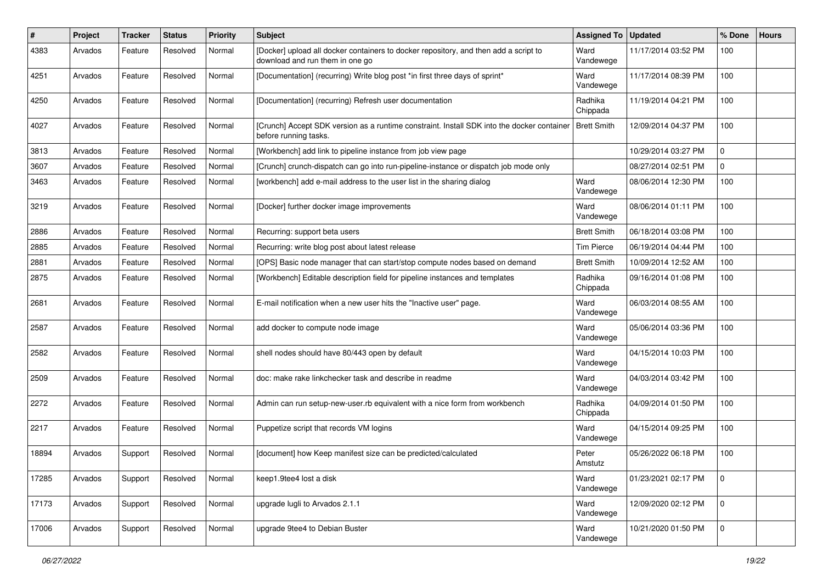| #     | Project | <b>Tracker</b> | <b>Status</b> | <b>Priority</b> | <b>Subject</b>                                                                                                          | <b>Assigned To</b>  | <b>Updated</b>      | % Done      | <b>Hours</b> |
|-------|---------|----------------|---------------|-----------------|-------------------------------------------------------------------------------------------------------------------------|---------------------|---------------------|-------------|--------------|
| 4383  | Arvados | Feature        | Resolved      | Normal          | [Docker] upload all docker containers to docker repository, and then add a script to<br>download and run them in one go | Ward<br>Vandewege   | 11/17/2014 03:52 PM | 100         |              |
| 4251  | Arvados | Feature        | Resolved      | Normal          | [Documentation] (recurring) Write blog post *in first three days of sprint*                                             | Ward<br>Vandewege   | 11/17/2014 08:39 PM | 100         |              |
| 4250  | Arvados | Feature        | Resolved      | Normal          | [Documentation] (recurring) Refresh user documentation                                                                  | Radhika<br>Chippada | 11/19/2014 04:21 PM | 100         |              |
| 4027  | Arvados | Feature        | Resolved      | Normal          | [Crunch] Accept SDK version as a runtime constraint. Install SDK into the docker container<br>before running tasks.     | <b>Brett Smith</b>  | 12/09/2014 04:37 PM | 100         |              |
| 3813  | Arvados | Feature        | Resolved      | Normal          | [Workbench] add link to pipeline instance from job view page                                                            |                     | 10/29/2014 03:27 PM | $\Omega$    |              |
| 3607  | Arvados | Feature        | Resolved      | Normal          | [Crunch] crunch-dispatch can go into run-pipeline-instance or dispatch job mode only                                    |                     | 08/27/2014 02:51 PM | $\mathbf 0$ |              |
| 3463  | Arvados | Feature        | Resolved      | Normal          | [workbench] add e-mail address to the user list in the sharing dialog                                                   | Ward<br>Vandewege   | 08/06/2014 12:30 PM | 100         |              |
| 3219  | Arvados | Feature        | Resolved      | Normal          | [Docker] further docker image improvements                                                                              | Ward<br>Vandewege   | 08/06/2014 01:11 PM | 100         |              |
| 2886  | Arvados | Feature        | Resolved      | Normal          | Recurring: support beta users                                                                                           | <b>Brett Smith</b>  | 06/18/2014 03:08 PM | 100         |              |
| 2885  | Arvados | Feature        | Resolved      | Normal          | Recurring: write blog post about latest release                                                                         | <b>Tim Pierce</b>   | 06/19/2014 04:44 PM | 100         |              |
| 2881  | Arvados | Feature        | Resolved      | Normal          | [OPS] Basic node manager that can start/stop compute nodes based on demand                                              | <b>Brett Smith</b>  | 10/09/2014 12:52 AM | 100         |              |
| 2875  | Arvados | Feature        | Resolved      | Normal          | [Workbench] Editable description field for pipeline instances and templates                                             | Radhika<br>Chippada | 09/16/2014 01:08 PM | 100         |              |
| 2681  | Arvados | Feature        | Resolved      | Normal          | E-mail notification when a new user hits the "Inactive user" page.                                                      | Ward<br>Vandewege   | 06/03/2014 08:55 AM | 100         |              |
| 2587  | Arvados | Feature        | Resolved      | Normal          | add docker to compute node image                                                                                        | Ward<br>Vandewege   | 05/06/2014 03:36 PM | 100         |              |
| 2582  | Arvados | Feature        | Resolved      | Normal          | shell nodes should have 80/443 open by default                                                                          | Ward<br>Vandewege   | 04/15/2014 10:03 PM | 100         |              |
| 2509  | Arvados | Feature        | Resolved      | Normal          | doc: make rake linkchecker task and describe in readme                                                                  | Ward<br>Vandewege   | 04/03/2014 03:42 PM | 100         |              |
| 2272  | Arvados | Feature        | Resolved      | Normal          | Admin can run setup-new-user.rb equivalent with a nice form from workbench                                              | Radhika<br>Chippada | 04/09/2014 01:50 PM | 100         |              |
| 2217  | Arvados | Feature        | Resolved      | Normal          | Puppetize script that records VM logins                                                                                 | Ward<br>Vandewege   | 04/15/2014 09:25 PM | 100         |              |
| 18894 | Arvados | Support        | Resolved      | Normal          | [document] how Keep manifest size can be predicted/calculated                                                           | Peter<br>Amstutz    | 05/26/2022 06:18 PM | 100         |              |
| 17285 | Arvados | Support        | Resolved      | Normal          | keep1.9tee4 lost a disk                                                                                                 | Ward<br>Vandewege   | 01/23/2021 02:17 PM | $\mathbf 0$ |              |
| 17173 | Arvados | Support        | Resolved      | Normal          | upgrade lugli to Arvados 2.1.1                                                                                          | Ward<br>Vandewege   | 12/09/2020 02:12 PM | $\mathbf 0$ |              |
| 17006 | Arvados | Support        | Resolved      | Normal          | upgrade 9tee4 to Debian Buster                                                                                          | Ward<br>Vandewege   | 10/21/2020 01:50 PM | 0           |              |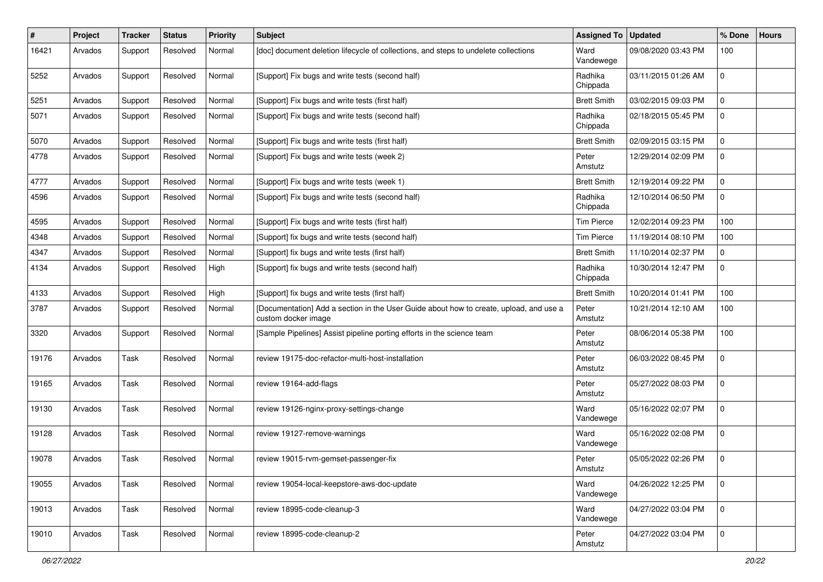| #     | Project | <b>Tracker</b> | <b>Status</b> | <b>Priority</b> | <b>Subject</b>                                                                                                | <b>Assigned To</b>  | <b>Updated</b>      | % Done      | <b>Hours</b> |
|-------|---------|----------------|---------------|-----------------|---------------------------------------------------------------------------------------------------------------|---------------------|---------------------|-------------|--------------|
| 16421 | Arvados | Support        | Resolved      | Normal          | [doc] document deletion lifecycle of collections, and steps to undelete collections                           | Ward<br>Vandewege   | 09/08/2020 03:43 PM | 100         |              |
| 5252  | Arvados | Support        | Resolved      | Normal          | [Support] Fix bugs and write tests (second half)                                                              | Radhika<br>Chippada | 03/11/2015 01:26 AM | 0           |              |
| 5251  | Arvados | Support        | Resolved      | Normal          | [Support] Fix bugs and write tests (first half)                                                               | <b>Brett Smith</b>  | 03/02/2015 09:03 PM | 0           |              |
| 5071  | Arvados | Support        | Resolved      | Normal          | [Support] Fix bugs and write tests (second half)                                                              | Radhika<br>Chippada | 02/18/2015 05:45 PM | $\Omega$    |              |
| 5070  | Arvados | Support        | Resolved      | Normal          | [Support] Fix bugs and write tests (first half)                                                               | <b>Brett Smith</b>  | 02/09/2015 03:15 PM | 0           |              |
| 4778  | Arvados | Support        | Resolved      | Normal          | [Support] Fix bugs and write tests (week 2)                                                                   | Peter<br>Amstutz    | 12/29/2014 02:09 PM | $\Omega$    |              |
| 4777  | Arvados | Support        | Resolved      | Normal          | [Support] Fix bugs and write tests (week 1)                                                                   | <b>Brett Smith</b>  | 12/19/2014 09:22 PM | $\mathbf 0$ |              |
| 4596  | Arvados | Support        | Resolved      | Normal          | [Support] Fix bugs and write tests (second half)                                                              | Radhika<br>Chippada | 12/10/2014 06:50 PM | $\Omega$    |              |
| 4595  | Arvados | Support        | Resolved      | Normal          | [Support] Fix bugs and write tests (first half)                                                               | <b>Tim Pierce</b>   | 12/02/2014 09:23 PM | 100         |              |
| 4348  | Arvados | Support        | Resolved      | Normal          | [Support] fix bugs and write tests (second half)                                                              | <b>Tim Pierce</b>   | 11/19/2014 08:10 PM | 100         |              |
| 4347  | Arvados | Support        | Resolved      | Normal          | [Support] fix bugs and write tests (first half)                                                               | <b>Brett Smith</b>  | 11/10/2014 02:37 PM | 0           |              |
| 4134  | Arvados | Support        | Resolved      | High            | [Support] fix bugs and write tests (second half)                                                              | Radhika<br>Chippada | 10/30/2014 12:47 PM | $\Omega$    |              |
| 4133  | Arvados | Support        | Resolved      | High            | [Support] fix bugs and write tests (first half)                                                               | <b>Brett Smith</b>  | 10/20/2014 01:41 PM | 100         |              |
| 3787  | Arvados | Support        | Resolved      | Normal          | [Documentation] Add a section in the User Guide about how to create, upload, and use a<br>custom docker image | Peter<br>Amstutz    | 10/21/2014 12:10 AM | 100         |              |
| 3320  | Arvados | Support        | Resolved      | Normal          | [Sample Pipelines] Assist pipeline porting efforts in the science team                                        | Peter<br>Amstutz    | 08/06/2014 05:38 PM | 100         |              |
| 19176 | Arvados | Task           | Resolved      | Normal          | review 19175-doc-refactor-multi-host-installation                                                             | Peter<br>Amstutz    | 06/03/2022 08:45 PM | 0           |              |
| 19165 | Arvados | Task           | Resolved      | Normal          | review 19164-add-flags                                                                                        | Peter<br>Amstutz    | 05/27/2022 08:03 PM | $\Omega$    |              |
| 19130 | Arvados | Task           | Resolved      | Normal          | review 19126-nginx-proxy-settings-change                                                                      | Ward<br>Vandewege   | 05/16/2022 02:07 PM | $\Omega$    |              |
| 19128 | Arvados | Task           | Resolved      | Normal          | review 19127-remove-warnings                                                                                  | Ward<br>Vandewege   | 05/16/2022 02:08 PM | $\mathbf 0$ |              |
| 19078 | Arvados | Task           | Resolved      | Normal          | review 19015-rvm-gemset-passenger-fix                                                                         | Peter<br>Amstutz    | 05/05/2022 02:26 PM | $\Omega$    |              |
| 19055 | Arvados | Task           | Resolved      | Normal          | review 19054-local-keepstore-aws-doc-update                                                                   | Ward<br>Vandewege   | 04/26/2022 12:25 PM | $\Omega$    |              |
| 19013 | Arvados | Task           | Resolved      | Normal          | review 18995-code-cleanup-3                                                                                   | Ward<br>Vandewege   | 04/27/2022 03:04 PM | $\mathbf 0$ |              |
| 19010 | Arvados | Task           | Resolved      | Normal          | review 18995-code-cleanup-2                                                                                   | Peter<br>Amstutz    | 04/27/2022 03:04 PM | $\mathbf 0$ |              |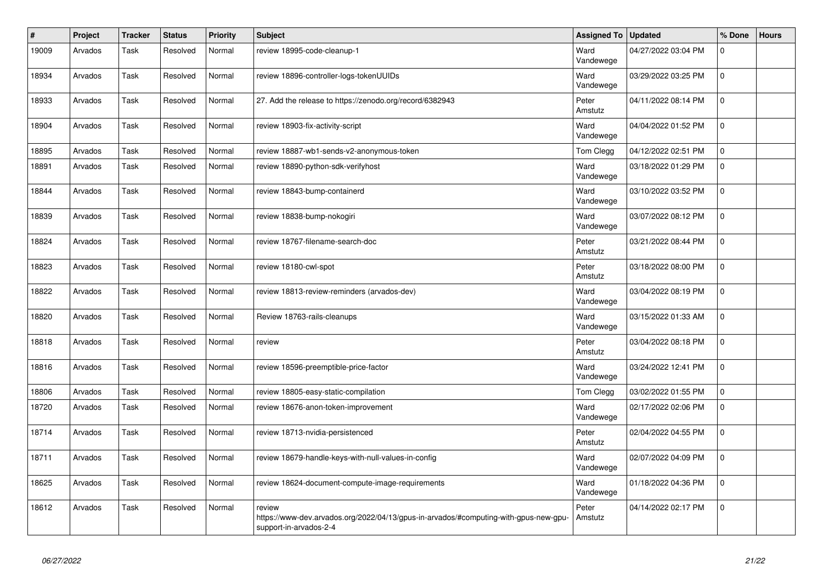| #     | Project | <b>Tracker</b> | <b>Status</b> | <b>Priority</b> | <b>Subject</b>                                                                                                           | <b>Assigned To</b> | <b>Updated</b>      | % Done      | <b>Hours</b> |
|-------|---------|----------------|---------------|-----------------|--------------------------------------------------------------------------------------------------------------------------|--------------------|---------------------|-------------|--------------|
| 19009 | Arvados | Task           | Resolved      | Normal          | review 18995-code-cleanup-1                                                                                              | Ward<br>Vandewege  | 04/27/2022 03:04 PM | $\Omega$    |              |
| 18934 | Arvados | Task           | Resolved      | Normal          | review 18896-controller-logs-tokenUUIDs                                                                                  | Ward<br>Vandewege  | 03/29/2022 03:25 PM | $\Omega$    |              |
| 18933 | Arvados | Task           | Resolved      | Normal          | 27. Add the release to https://zenodo.org/record/6382943                                                                 | Peter<br>Amstutz   | 04/11/2022 08:14 PM | $\Omega$    |              |
| 18904 | Arvados | Task           | Resolved      | Normal          | review 18903-fix-activity-script                                                                                         | Ward<br>Vandewege  | 04/04/2022 01:52 PM | $\mathbf 0$ |              |
| 18895 | Arvados | Task           | Resolved      | Normal          | review 18887-wb1-sends-v2-anonymous-token                                                                                | Tom Clegg          | 04/12/2022 02:51 PM | $\mathbf 0$ |              |
| 18891 | Arvados | Task           | Resolved      | Normal          | review 18890-python-sdk-verifyhost                                                                                       | Ward<br>Vandewege  | 03/18/2022 01:29 PM | $\mathbf 0$ |              |
| 18844 | Arvados | Task           | Resolved      | Normal          | review 18843-bump-containerd                                                                                             | Ward<br>Vandewege  | 03/10/2022 03:52 PM | $\Omega$    |              |
| 18839 | Arvados | Task           | Resolved      | Normal          | review 18838-bump-nokogiri                                                                                               | Ward<br>Vandewege  | 03/07/2022 08:12 PM | $\Omega$    |              |
| 18824 | Arvados | Task           | Resolved      | Normal          | review 18767-filename-search-doc                                                                                         | Peter<br>Amstutz   | 03/21/2022 08:44 PM | $\Omega$    |              |
| 18823 | Arvados | Task           | Resolved      | Normal          | review 18180-cwl-spot                                                                                                    | Peter<br>Amstutz   | 03/18/2022 08:00 PM | $\Omega$    |              |
| 18822 | Arvados | Task           | Resolved      | Normal          | review 18813-review-reminders (arvados-dev)                                                                              | Ward<br>Vandewege  | 03/04/2022 08:19 PM | $\mathbf 0$ |              |
| 18820 | Arvados | Task           | Resolved      | Normal          | Review 18763-rails-cleanups                                                                                              | Ward<br>Vandewege  | 03/15/2022 01:33 AM | $\mathbf 0$ |              |
| 18818 | Arvados | Task           | Resolved      | Normal          | review                                                                                                                   | Peter<br>Amstutz   | 03/04/2022 08:18 PM | $\mathbf 0$ |              |
| 18816 | Arvados | Task           | Resolved      | Normal          | review 18596-preemptible-price-factor                                                                                    | Ward<br>Vandewege  | 03/24/2022 12:41 PM | $\Omega$    |              |
| 18806 | Arvados | Task           | Resolved      | Normal          | review 18805-easy-static-compilation                                                                                     | Tom Clegg          | 03/02/2022 01:55 PM | $\mathbf 0$ |              |
| 18720 | Arvados | Task           | Resolved      | Normal          | review 18676-anon-token-improvement                                                                                      | Ward<br>Vandewege  | 02/17/2022 02:06 PM | $\Omega$    |              |
| 18714 | Arvados | Task           | Resolved      | Normal          | review 18713-nvidia-persistenced                                                                                         | Peter<br>Amstutz   | 02/04/2022 04:55 PM | $\Omega$    |              |
| 18711 | Arvados | Task           | Resolved      | Normal          | review 18679-handle-keys-with-null-values-in-config                                                                      | Ward<br>Vandewege  | 02/07/2022 04:09 PM | $\mathbf 0$ |              |
| 18625 | Arvados | Task           | Resolved      | Normal          | review 18624-document-compute-image-requirements                                                                         | Ward<br>Vandewege  | 01/18/2022 04:36 PM | $\Omega$    |              |
| 18612 | Arvados | Task           | Resolved      | Normal          | review<br>https://www-dev.arvados.org/2022/04/13/gpus-in-arvados/#computing-with-gpus-new-gpu-<br>support-in-arvados-2-4 | Peter<br>Amstutz   | 04/14/2022 02:17 PM | $\Omega$    |              |